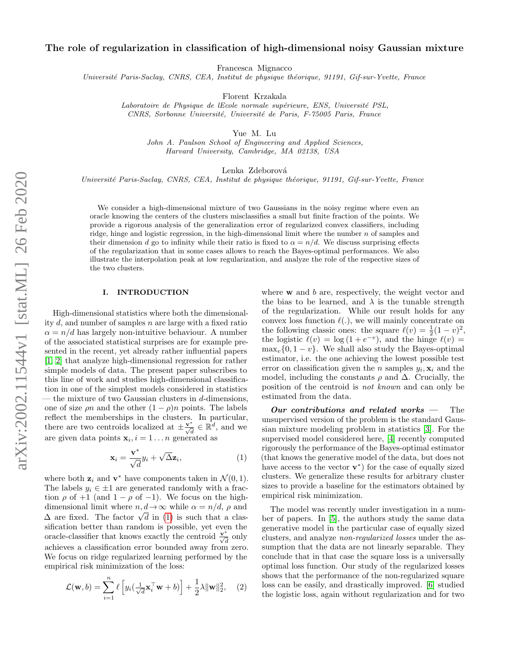# The role of regularization in classification of high-dimensional noisy Gaussian mixture

Francesca Mignacco

Université Paris-Saclay, CNRS, CEA, Institut de physique théorique, 91191, Gif-sur-Yvette, France

Florent Krzakala

Laboratoire de Physique de lEcole normale supérieure, ENS, Université PSL, CNRS, Sorbonne Université, Université de Paris, F-75005 Paris, France

Yue M. Lu

John A. Paulson School of Engineering and Applied Sciences, Harvard University, Cambridge, MA 02138, USA

Lenka Zdeborová

Université Paris-Saclay, CNRS, CEA, Institut de physique théorique, 91191, Gif-sur-Yvette, France

We consider a high-dimensional mixture of two Gaussians in the noisy regime where even an oracle knowing the centers of the clusters misclassifies a small but finite fraction of the points. We provide a rigorous analysis of the generalization error of regularized convex classifiers, including ridge, hinge and logistic regression, in the high-dimensional limit where the number  $n$  of samples and their dimension d go to infinity while their ratio is fixed to  $\alpha = n/d$ . We discuss surprising effects of the regularization that in some cases allows to reach the Bayes-optimal performances. We also illustrate the interpolation peak at low regularization, and analyze the role of the respective sizes of the two clusters.

## <span id="page-0-2"></span>I. INTRODUCTION

High-dimensional statistics where both the dimensionality  $d$ , and number of samples  $n$  are large with a fixed ratio  $\alpha = n/d$  has largely non-intuitive behaviour. A number of the associated statistical surprises are for example presented in the recent, yet already rather influential papers [\[1,](#page-7-0) [2\]](#page-7-1) that analyze high-dimensional regression for rather simple models of data. The present paper subscribes to this line of work and studies high-dimensional classification in one of the simplest models considered in statistics the mixture of two Gaussian clusters in  $d$ -dimensions, one of size  $\rho n$  and the other  $(1 - \rho)n$  points. The labels reflect the memberships in the clusters. In particular, there are two centroids localized at  $\pm \frac{\mathbf{v}^*}{\sqrt{d}} \in \mathbb{R}^d$ , and we are given data points  $\mathbf{x}_i, i = 1 \dots n$  generated as

<span id="page-0-0"></span>
$$
\mathbf{x}_{i} = \frac{\mathbf{v}^{*}}{\sqrt{d}} y_{i} + \sqrt{\Delta} \mathbf{z}_{i},
$$
\n(1)

where both  $z_i$  and  $v^*$  have components taken in  $\mathcal{N}(0,1)$ . The labels  $y_i \in \pm 1$  are generated randomly with a fraction  $\rho$  of +1 (and 1 –  $\rho$  of –1). We focus on the highdimensional limit where  $n, d \to \infty$  while  $\alpha = n/d, \rho$  and dimensional limit where  $n, a \to \infty$  while  $\alpha = n/a$ ,  $\rho$  and  $\Delta$  are fixed. The factor  $\sqrt{d}$  in [\(1\)](#page-0-0) is such that a classification better than random is possible, yet even the oracle-classifier that knows exactly the centroid  $\frac{\mathbf{v}^*}{\sqrt{d}}$  only achieves a classification error bounded away from zero. We focus on ridge regularized learning performed by the empirical risk minimization of the loss:

<span id="page-0-1"></span>
$$
\mathcal{L}(\mathbf{w},b) = \sum_{i=1}^{n} \ell \left[ y_i \left( \frac{1}{\sqrt{d}} \mathbf{x}_i^{\top} \mathbf{w} + b \right) \right] + \frac{1}{2} \lambda \|\mathbf{w}\|_2^2, \quad (2)
$$

where  $w$  and  $b$  are, respectively, the weight vector and the bias to be learned, and  $\lambda$  is the tunable strength of the regularization. While our result holds for any convex loss function  $\ell(.)$ , we will mainly concentrate on the following classic ones: the square  $\ell(v) = \frac{1}{2}(1 - v)^2$ , the logistic  $\ell(v) = \log(1 + e^{-v}),$  and the hinge  $\ell(v) =$  $\max_{v} \{0, 1 - v\}$ . We shall also study the Bayes-optimal estimator, i.e. the one achieving the lowest possible test error on classification given the *n* samples  $y_i$ ,  $\mathbf{x}_i$  and the model, including the constants  $\rho$  and  $\Delta$ . Crucially, the position of the centroid is not known and can only be estimated from the data.

Our contributions and related works  $-$  The unsupervised version of the problem is the standard Gaussian mixture modeling problem in statistics [\[3\]](#page-7-2). For the supervised model considered here, [\[4\]](#page-7-3) recently computed rigorously the performance of the Bayes-optimal estimator (that knows the generative model of the data, but does not have access to the vector  $\mathbf{v}^*$  for the case of equally sized clusters. We generalize these results for arbitrary cluster sizes to provide a baseline for the estimators obtained by empirical risk minimization.

The model was recently under investigation in a number of papers. In [\[5\]](#page-8-0), the authors study the same data generative model in the particular case of equally sized clusters, and analyze non-regularized losses under the assumption that the data are not linearly separable. They conclude that in that case the square loss is a universally optimal loss function. Our study of the regularized losses shows that the performance of the non-regularized square loss can be easily, and drastically improved. [\[6\]](#page-8-1) studied the logistic loss, again without regularization and for two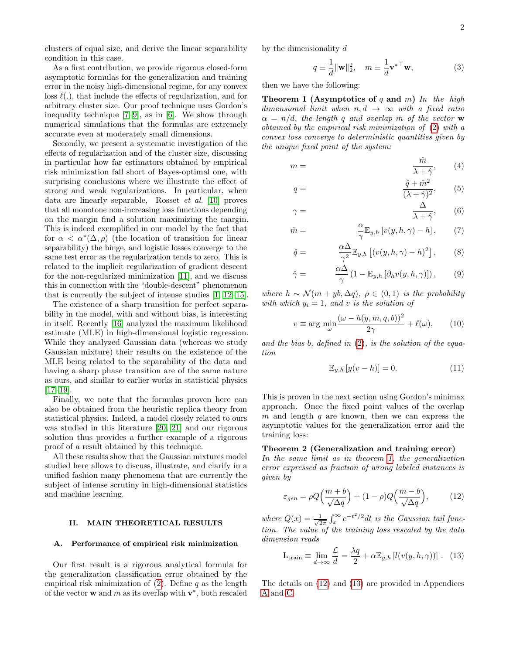clusters of equal size, and derive the linear separability condition in this case.

As a first contribution, we provide rigorous closed-form asymptotic formulas for the generalization and training error in the noisy high-dimensional regime, for any convex loss  $\ell(.)$ , that include the effects of regularization, and for arbitrary cluster size. Our proof technique uses Gordon's inequality technique [\[7–](#page-8-2)[9\]](#page-8-3), as in [\[6\]](#page-8-1). We show through numerical simulations that the formulas are extremely accurate even at moderately small dimensions.

Secondly, we present a systematic investigation of the effects of regularization and of the cluster size, discussing in particular how far estimators obtained by empirical risk minimization fall short of Bayes-optimal one, with surprising conclusions where we illustrate the effect of strong and weak regularizations. In particular, when data are linearly separable, Rosset et al. [\[10\]](#page-8-4) proves that all monotone non-increasing loss functions depending on the margin find a solution maximizing the margin. This is indeed exemplified in our model by the fact that for  $\alpha < \alpha^*(\Delta, \rho)$  (the location of transition for linear separability) the hinge, and logistic losses converge to the same test error as the regularization tends to zero. This is related to the implicit regularization of gradient descent for the non-regularized minimization [\[11\]](#page-8-5), and we discuss this in connection with the "double-descent" phenomenon that is currently the subject of intense studies [\[1,](#page-7-0) [12–](#page-8-6)[15\]](#page-8-7).

The existence of a sharp transition for perfect separability in the model, with and without bias, is interesting in itself. Recently [\[16\]](#page-8-8) analyzed the maximum likelihood estimate (MLE) in high-dimensional logistic regression. While they analyzed Gaussian data (whereas we study Gaussian mixture) their results on the existence of the MLE being related to the separability of the data and having a sharp phase transition are of the same nature as ours, and similar to earlier works in statistical physics  $[17–19]$  $[17–19]$ .

Finally, we note that the formulas proven here can also be obtained from the heuristic replica theory from statistical physics. Indeed, a model closely related to ours was studied in this literature [\[20,](#page-8-11) [21\]](#page-8-12) and our rigorous solution thus provides a further example of a rigorous proof of a result obtained by this technique.

All these results show that the Gaussian mixtures model studied here allows to discuss, illustrate, and clarify in a unified fashion many phenomena that are currently the subject of intense scrutiny in high-dimensional statistics and machine learning.

## <span id="page-1-3"></span>II. MAIN THEORETICAL RESULTS

#### A. Performance of empirical risk minimization

Our first result is a rigorous analytical formula for the generalization classification error obtained by the empirical risk minimization of  $(2)$ . Define q as the length of the vector **w** and m as its overlap with  $\mathbf{v}^*$ , both rescaled

by the dimensionality d

 $q =$ 

 $\gamma$ 

<span id="page-1-5"></span>
$$
q \equiv \frac{1}{d} ||\mathbf{w}||_2^2, \quad m \equiv \frac{1}{d} \mathbf{v}^{*T} \mathbf{w}, \tag{3}
$$

then we have the following:

Theorem 1 (Asymptotics of q and m) In the high dimensional limit when  $n, d \rightarrow \infty$  with a fixed ratio  $\alpha = n/d$ , the length q and overlap m of the vector w obtained by the empirical risk minimization of [\(2\)](#page-0-1) with a convex loss converge to deterministic quantities given by the unique fixed point of the system:

$$
m = \frac{\hat{m}}{\lambda + \hat{\gamma}}, \qquad (4)
$$

<span id="page-1-6"></span><span id="page-1-4"></span>
$$
\frac{\hat{q} + \hat{m}^2}{(\lambda + \hat{\gamma})^2},\qquad(5)
$$

$$
= \frac{\Delta}{\lambda + \hat{\gamma}}, \qquad (6)
$$

$$
\hat{m} = \frac{\alpha}{\gamma} \mathbb{E}_{y,h} \left[ v(y, h, \gamma) - h \right],\tag{7}
$$

$$
\hat{q} = \frac{\alpha \Delta}{\gamma^2} \mathbb{E}_{y,h} \left[ (v(y,h,\gamma) - h)^2 \right],\tag{8}
$$

$$
\hat{\gamma} = \frac{\alpha \Delta}{\gamma} \left( 1 - \mathbb{E}_{y,h} \left[ \partial_h v(y, h, \gamma) \right] \right), \quad (9)
$$

where  $h \sim \mathcal{N}(m + y_0, \Delta q)$ ,  $\rho \in (0, 1)$  is the probability with which  $y_i = 1$ , and v is the solution of

$$
v \equiv \arg\min_{\omega} \frac{(\omega - h(y, m, q, b))^2}{2\gamma} + \ell(\omega),\qquad(10)
$$

and the bias  $b$ , defined in  $(2)$ , is the solution of the equation

<span id="page-1-7"></span><span id="page-1-0"></span>
$$
\mathbb{E}_{y,h}\left[y(v-h)\right] = 0.\tag{11}
$$

This is proven in the next section using Gordon's minimax approach. Once the fixed point values of the overlap m and length q are known, then we can express the asymptotic values for the generalization error and the training loss:

## Theorem 2 (Generalization and training error)

In the same limit as in theorem [1,](#page-1-0) the generalization error expressed as fraction of wrong labeled instances is given by

<span id="page-1-1"></span>
$$
\varepsilon_{gen} = \rho Q \Big(\frac{m+b}{\sqrt{\Delta q}}\Big) + (1-\rho) Q \Big(\frac{m-b}{\sqrt{\Delta q}}\Big),\tag{12}
$$

where  $Q(x) = \frac{1}{\sqrt{2}}$  $\frac{1}{2\pi} \int_x^{\infty} e^{-t^2/2} dt$  is the Gaussian tail function. The value of the training loss rescaled by the data dimension reads

<span id="page-1-2"></span>
$$
L_{\text{train}} \equiv \lim_{d \to \infty} \frac{\mathcal{L}}{d} = \frac{\lambda q}{2} + \alpha \mathbb{E}_{y,h} \left[ l(v(y, h, \gamma)) \right]. \tag{13}
$$

The details on [\(12\)](#page-1-1) and [\(13\)](#page-1-2) are provided in Appendices [A](#page-9-0) and [C.](#page-12-0)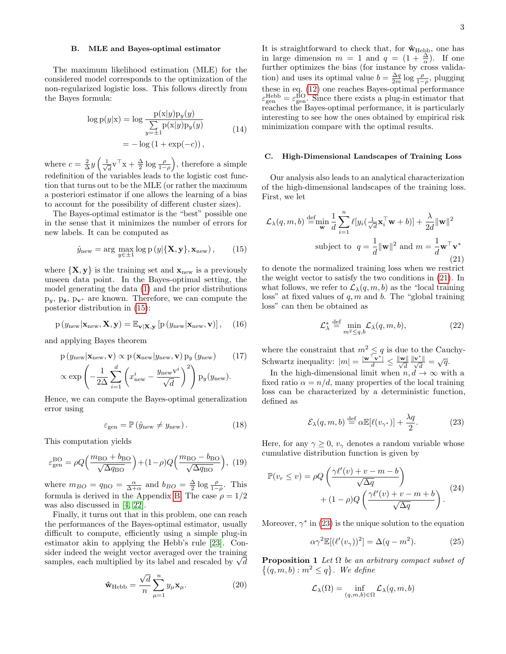#### B. MLE and Bayes-optimal estimator

The maximum likelihood estimation (MLE) for the considered model corresponds to the optimization of the non-regularized logistic loss. This follows directly from the Bayes formula:

$$
\log p(y|x) = \log \frac{p(x|y)p_y(y)}{\sum_{y=\pm 1} p(x|y)p_y(y)}
$$
  
=  $-\log(1 + \exp(-c)),$  (14)

where  $c = \frac{2}{\Delta}y \left(\frac{1}{\sqrt{2}}\right)$  $\frac{1}{d}v^{\top}x + \frac{\Delta}{2}\log\frac{\rho}{1-\rho}\big),$  therefore a simple redefinition of the variables leads to the logistic cost function that turns out to be the MLE (or rather the maximum a posteriori estimator if one allows the learning of a bias to account for the possibility of different cluster sizes).

The Bayes-optimal estimator is the "best" possible one in the sense that it minimizes the number of errors for new labels. It can be computed as

<span id="page-2-0"></span>
$$
\hat{y}_{\text{new}} = \arg \max_{y \in \pm 1} \log p(y | \{\mathbf{X}, \mathbf{y}\}, \mathbf{x}_{\text{new}}), \quad (15)
$$

where  $\{X, y\}$  is the training set and  $x_{\text{new}}$  is a previously unseen data point. In the Bayes-optimal setting, the model generating the data [\(1\)](#page-0-0) and the prior distributions  $p_y$ ,  $p_z$ ,  $p_{v^*}$  are known. Therefore, we can compute the posterior distribution in [\(15\)](#page-2-0):

$$
p(y_{\text{new}}|\mathbf{x}_{\text{new}}, \mathbf{X}, \mathbf{y}) = \mathbb{E}_{\mathbf{v}|\mathbf{X}, \mathbf{y}} \left[ p(y_{\text{new}}|\mathbf{x}_{\text{new}}, \mathbf{v}) \right], \quad (16)
$$

and applying Bayes theorem

$$
p(y_{new}|\mathbf{x}_{new}, \mathbf{v}) \propto p(\mathbf{x}_{new}|y_{new}, \mathbf{v}) p_y(y_{new}) \qquad (17)
$$

$$
\propto \exp\left(-\frac{1}{2\Delta} \sum_{i=1}^{d} \left(x_{\text{new}}^{i} - \frac{y_{\text{new}}v^{i}}{\sqrt{d}}\right)^{2}\right) p_{y}(y_{\text{new}}).
$$

Hence, we can compute the Bayes-optimal generalization error using

$$
\varepsilon_{\text{gen}} = \mathbb{P}\left(\hat{y}_{\text{new}} \neq y_{\text{new}}\right). \tag{18}
$$

This computation yields

<span id="page-2-7"></span>
$$
\varepsilon_{\text{gen}}^{\text{BO}} = \rho Q \Big( \frac{m_{\text{BO}} + b_{\text{BO}}}{\sqrt{\Delta q_{\text{BO}}}} \Big) + (1 - \rho) Q \Big( \frac{m_{\text{BO}} - b_{\text{BO}}}{\sqrt{\Delta q_{\text{BO}}}} \Big), \tag{19}
$$

where  $m_{BO} = q_{BO} = \frac{\alpha}{\Delta + \alpha}$  and  $b_{BO} = \frac{\Delta}{2} \log \frac{\rho}{1 - \rho}$ . This formula is derived in the Appendix [B.](#page-10-0) The case  $\rho = 1/2$ was also discussed in [\[4,](#page-7-3) [22\]](#page-8-13).

Finally, it turns out that in this problem, one can reach the performances of the Bayes-optimal estimator, usually difficult to compute, efficiently using a simple plug-in estimator akin to applying the Hebb's rule [\[23\]](#page-8-14). Consider indeed the weight vector averaged over the training sider indeed the weight vector averaged over the training<br>samples, each multiplied by its label and rescaled by  $\sqrt{d}$ 

<span id="page-2-6"></span>
$$
\hat{\mathbf{w}}_{\text{Hebb}} = \frac{\sqrt{d}}{n} \sum_{\mu=1}^{n} y_{\mu} \mathbf{x}_{\mu}.
$$
 (20)

It is straightforward to check that, for  $\hat{\mathbf{w}}_{\text{Hebb}}$ , one has in large dimension  $m = 1$  and  $q = (1 + \frac{\Delta}{\alpha})$ . If one further optimizes the bias (for instance by cross validation) and uses its optimal value  $b = \frac{\Delta q}{2m} \log \frac{\rho}{1-\rho}$ , plugging these in eq. [\(12\)](#page-1-1) one reaches Bayes-optimal performance  $\varepsilon_{\text{gen}}^{\text{Hebb}} = \varepsilon_{\text{gen}}^{\text{BO}}$ . Since there exists a plug-in estimator that reaches the Bayes-optimal performance, it is particularly interesting to see how the ones obtained by empirical risk minimization compare with the optimal results.

#### C. High-Dimensional Landscapes of Training Loss

Our analysis also leads to an analytical characterization of the high-dimensional landscapes of the training loss. First, we let

<span id="page-2-1"></span>
$$
\mathcal{L}_{\lambda}(q, m, b) \stackrel{\text{def}}{=} \min_{\mathbf{w}} \frac{1}{d} \sum_{i=1}^{n} \ell[y_i(\frac{1}{\sqrt{d}} \mathbf{x}_i^{\top} \mathbf{w} + b)] + \frac{\lambda}{2d} ||\mathbf{w}||^2
$$
  
subject to  $q = \frac{1}{d} ||\mathbf{w}||^2$  and  $m = \frac{1}{d} \mathbf{w}^{\top} \mathbf{v}^*$  (21)

to denote the normalized training loss when we restrict the weight vector to satisfy the two conditions in [\(21\)](#page-2-1). In what follows, we refer to  $\mathcal{L}_{\lambda}(q, m, b)$  as the "local training" loss" at fixed values of  $q, m$  and  $b$ . The "global training" loss" can then be obtained as

<span id="page-2-3"></span>
$$
\mathcal{L}_{\lambda}^{*} \stackrel{\text{def}}{=} \min_{m^{2} \leq q, b} \mathcal{L}_{\lambda}(q, m, b), \tag{22}
$$

where the constraint that  $m^2 \leq q$  is due to the Cauchy-Schwartz inequality:  $|m| = \frac{|\mathbf{w}^{\top} \mathbf{v}^*|}{d} \leq \frac{||\mathbf{w}||}{\sqrt{d}}$  $rac{\|\mathbf{v}^*\|}{\sqrt{d}} = \sqrt{q}.$ 

In the high-dimensional limit when  $n, d \rightarrow \infty$  with a fixed ratio  $\alpha = n/d$ , many properties of the local training loss can be characterized by a deterministic function, defined as

<span id="page-2-2"></span>
$$
\mathcal{E}_{\lambda}(q,m,b) \stackrel{\text{def}}{=} \alpha \mathbb{E}[\ell(v_{\gamma^*})] + \frac{\lambda q}{2}.
$$
 (23)

Here, for any  $\gamma \geq 0$ ,  $v_{\gamma}$  denotes a random variable whose cumulative distribution function is given by

<span id="page-2-8"></span>
$$
\mathbb{P}(v_r \le v) = \rho Q \left( \frac{\gamma \ell'(v) + v - m - b}{\sqrt{\Delta q}} \right) + (1 - \rho) Q \left( \frac{\gamma \ell'(v) + v - m + b}{\sqrt{\Delta q}} \right). \tag{24}
$$

Moreover,  $\gamma^*$  in [\(23\)](#page-2-2) is the unique solution to the equation

<span id="page-2-5"></span>
$$
\alpha \gamma^2 \mathbb{E}[(\ell'(v_\gamma))^2] = \Delta(q - m^2). \tag{25}
$$

<span id="page-2-4"></span>**Proposition 1** Let  $\Omega$  be an arbitrary compact subset of  $\{(q, m, b) : m^2 \leq q\}$ . We define

$$
\mathcal{L}_{\lambda}(\Omega) = \inf_{(q,m,b)\in\Omega} \mathcal{L}_{\lambda}(q,m,b)
$$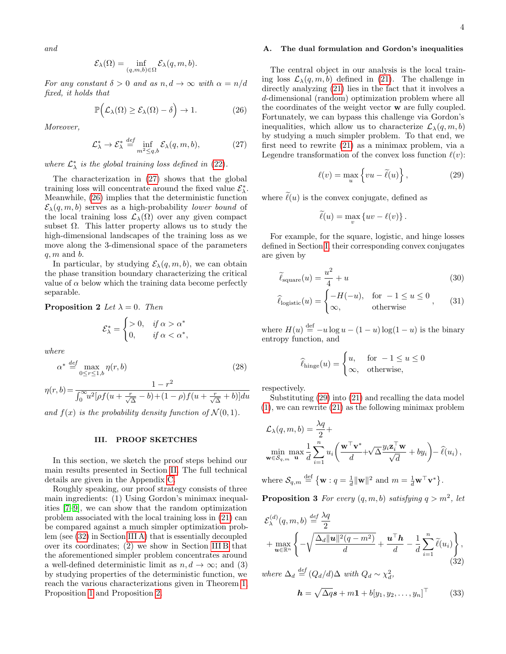and

$$
\mathcal{E}_{\lambda}(\Omega) = \inf_{(q,m,b)\in\Omega} \mathcal{E}_{\lambda}(q,m,b).
$$

For any constant  $\delta > 0$  and as  $n, d \rightarrow \infty$  with  $\alpha = n/d$ fixed, it holds that

<span id="page-3-1"></span>
$$
\mathbb{P}\Big(\mathcal{L}_{\lambda}(\Omega) \ge \mathcal{E}_{\lambda}(\Omega) - \delta\Big) \to 1. \tag{26}
$$

Moreover,

<span id="page-3-0"></span>
$$
\mathcal{L}_{\lambda}^{*} \to \mathcal{E}_{\lambda}^{*} \stackrel{def}{=} \inf_{m^{2} \leq q,b} \mathcal{E}_{\lambda}(q,m,b), \tag{27}
$$

where  $\mathcal{L}^*_{\lambda}$  is the global training loss defined in [\(22\)](#page-2-3).

The characterization in [\(27\)](#page-3-0) shows that the global training loss will concentrate around the fixed value  $\mathcal{E}_{\lambda}^*$ . Meanwhile, [\(26\)](#page-3-1) implies that the deterministic function  $\mathcal{E}_{\lambda}(q,m,b)$  serves as a high-probability lower bound of the local training loss  $\mathcal{L}_{\lambda}(\Omega)$  over any given compact subset  $\Omega$ . This latter property allows us to study the high-dimensional landscapes of the training loss as we move along the 3-dimensional space of the parameters  $q, m$  and  $b$ .

In particular, by studying  $\mathcal{E}_{\lambda}(q, m, b)$ , we can obtain the phase transition boundary characterizing the critical value of  $\alpha$  below which the training data become perfectly separable.

<span id="page-3-4"></span>**Proposition 2** Let  $\lambda = 0$ . Then

$$
\mathcal{E}_{\lambda}^{*} = \begin{cases} > 0, & \text{if } \alpha > \alpha^{*} \\ 0, & \text{if } \alpha < \alpha^{*}, \end{cases}
$$

where

$$
\alpha^* \stackrel{def}{=} \max_{0 \le r \le 1, b} \eta(r, b) \tag{28}
$$

$$
\eta(r, b) = \frac{1 - r^2}{\int_0^{\infty} u^2 [\rho f(u + \frac{r}{\sqrt{\Delta}} - b) + (1 - \rho)f(u + \frac{r}{\sqrt{\Delta}} + b)] du}
$$

and  $f(x)$  is the probability density function of  $\mathcal{N}(0, 1)$ .

## <span id="page-3-8"></span>III. PROOF SKETCHES

In this section, we sketch the proof steps behind our main results presented in Section [II.](#page-1-3) The full technical details are given in the Appendix [C.](#page-12-0)

Roughly speaking, our proof strategy consists of three main ingredients: (1) Using Gordon's minimax inequalities [\[7–](#page-8-2)[9\]](#page-8-3), we can show that the random optimization problem associated with the local training loss in [\(21\)](#page-2-1) can be compared against a much simpler optimization problem (see [\(32\)](#page-3-2) in Section [III A\)](#page-3-3) that is essentially decoupled over its coordinates; (2) we show in Section [III B](#page-4-0) that the aforementioned simpler problem concentrates around a well-defined deterministic limit as  $n, d \rightarrow \infty$ ; and (3) by studying properties of the deterministic function, we reach the various characterizations given in Theorem [1,](#page-1-0) Proposition [1](#page-2-4) and Proposition [2.](#page-3-4)

#### <span id="page-3-3"></span>A. The dual formulation and Gordon's inequalities

The central object in our analysis is the local training loss  $\mathcal{L}_{\lambda}(q, m, b)$  defined in [\(21\)](#page-2-1). The challenge in directly analyzing [\(21\)](#page-2-1) lies in the fact that it involves a d-dimensional (random) optimization problem where all the coordinates of the weight vector w are fully coupled. Fortunately, we can bypass this challenge via Gordon's inequalities, which allow us to characterize  $\mathcal{L}_{\lambda}(q, m, b)$ by studying a much simpler problem. To that end, we first need to rewrite [\(21\)](#page-2-1) as a minimax problem, via a Legendre transformation of the convex loss function  $\ell(v)$ :

<span id="page-3-5"></span>
$$
\ell(v) = \max_{u} \left\{ vu - \tilde{\ell}(u) \right\},\tag{29}
$$

where  $\tilde{\ell}(u)$  is the convex conjugate, defined as

$$
\widetilde{\ell}(u) = \max_{v} \{ uv - \ell(v) \}.
$$

For example, for the square, logistic, and hinge losses defined in Section [I,](#page-0-2) their corresponding convex conjugates are given by

$$
\widetilde{\ell}_{\text{square}}(u) = \frac{u^2}{4} + u \tag{30}
$$

$$
\widehat{\ell}_{\text{logistic}}(u) = \begin{cases}\n-H(-u), & \text{for } -1 \le u \le 0 \\
\infty, & \text{otherwise}\n\end{cases},\n\tag{31}
$$

where  $H(u) \stackrel{\text{def}}{=} -u \log u - (1-u) \log(1-u)$  is the binary entropy function, and

$$
\widehat{\ell}_{\text{hinge}}(u) = \begin{cases} u, & \text{for } -1 \le u \le 0 \\ \infty, & \text{otherwise,} \end{cases}
$$

respectively.

Substituting [\(29\)](#page-3-5) into [\(21\)](#page-2-1) and recalling the data model [\(1\)](#page-0-0), we can rewrite [\(21\)](#page-2-1) as the following minimax problem

$$
\mathcal{L}_{\lambda}(q, m, b) = \frac{\lambda q}{2} + \min_{\mathbf{w} \in \mathcal{S}_{q,m}} \max_{\mathbf{u}} \frac{1}{d} \sum_{i=1}^{n} u_i \left( \frac{\mathbf{w}^{\top} \mathbf{v}^*}{d} + \sqrt{\Delta} \frac{y_i \mathbf{z}_i^{\top} \mathbf{w}}{\sqrt{d}} + by_i \right) - \hat{\ell}(u_i),
$$

where 
$$
S_{q,m} \stackrel{\text{def}}{=} {\mathbf{w} : q = \frac{1}{d} ||\mathbf{w}||^2}
$$
 and  $m = \frac{1}{d} \mathbf{w}^\top \mathbf{v}^*}$ .

<span id="page-3-6"></span>**Proposition 3** For every  $(q, m, b)$  satisfying  $q > m^2$ , let

<span id="page-3-2"></span>
$$
\mathcal{E}_{\lambda}^{(d)}(q, m, b) \stackrel{def}{=} \frac{\lambda q}{2} + \max_{\mathbf{u} \in \mathbb{R}^n} \left\{ -\sqrt{\frac{\Delta_d \|\mathbf{u}\|^2 (q - m^2)}{d}} + \frac{\mathbf{u}^\top \mathbf{h}}{d} - \frac{1}{d} \sum_{i=1}^n \widetilde{\ell}(u_i) \right\},\tag{32}
$$

where  $\Delta_d \stackrel{def}{=} (Q_d/d)\Delta$  with  $Q_d \sim \chi_d^2$ ,

<span id="page-3-7"></span>
$$
\boldsymbol{h} = \sqrt{\Delta q} \boldsymbol{s} + m \mathbf{1} + b[y_1, y_2, \dots, y_n]^\top \tag{33}
$$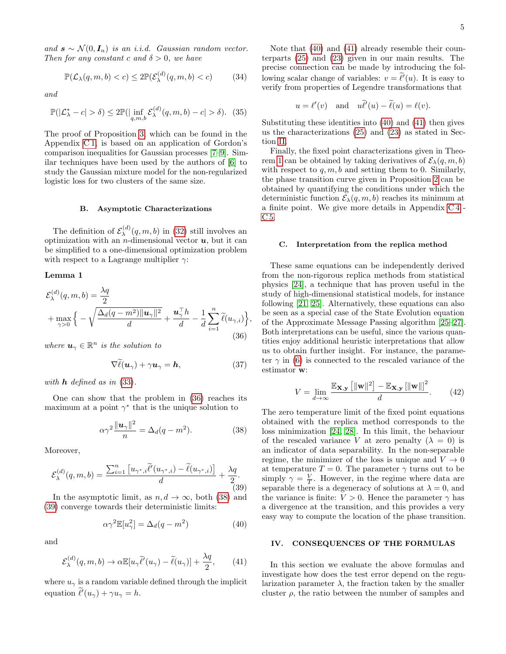and  $\mathbf{s} \sim \mathcal{N}(0, \mathbf{I}_n)$  is an i.i.d. Gaussian random vector. Then for any constant c and  $\delta > 0$ , we have

$$
\mathbb{P}(\mathcal{L}_{\lambda}(q,m,b)
$$

and

<span id="page-4-6"></span>
$$
\mathbb{P}(|\mathcal{L}_{\lambda}^*-c|>\delta) \le 2\mathbb{P}(|\inf_{q,m,b}\mathcal{E}_{\lambda}^{(d)}(q,m,b)-c|>\delta). \tag{35}
$$

The proof of Proposition [3,](#page-3-6) which can be found in the Appendix [C 1,](#page-12-1) is based on an application of Gordon's comparison inequalities for Gaussian processes [\[7–](#page-8-2)[9\]](#page-8-3). Similar techniques have been used by the authors of [\[6\]](#page-8-1) to study the Gaussian mixture model for the non-regularized logistic loss for two clusters of the same size.

#### <span id="page-4-0"></span>B. Asymptotic Characterizations

The definition of  $\mathcal{E}_{\lambda}^{(d)}$  $\lambda^{(a)}(q,m,b)$  in [\(32\)](#page-3-2) still involves an optimization with an  $n$ -dimensional vector  $u$ , but it can be simplified to a one-dimensional optimization problem with respect to a Lagrange multiplier  $\gamma$ :

## Lemma 1

<span id="page-4-1"></span>
$$
\mathcal{E}_{\lambda}^{(d)}(q, m, b) = \frac{\lambda q}{2}
$$
  
+ 
$$
\max_{\gamma > 0} \left\{ -\sqrt{\frac{\Delta_d (q - m^2) ||\mathbf{u}_{\gamma}||^2}{d}} + \frac{\mathbf{u}_{\gamma}^{\top} h}{d} - \frac{1}{d} \sum_{i=1}^{n} \tilde{\ell}(u_{\gamma, i}) \right\}
$$
(36)

where  $u_{\gamma} \in \mathbb{R}^n$  is the solution to

$$
\nabla \ell(\boldsymbol{u}_{\gamma}) + \gamma \boldsymbol{u}_{\gamma} = \boldsymbol{h},\tag{37}
$$

,

with  $h$  defined as in  $(33)$ .

One can show that the problem in [\(36\)](#page-4-1) reaches its maximum at a point  $\gamma^*$  that is the unique solution to

<span id="page-4-2"></span>
$$
\alpha \gamma^2 \frac{\|\boldsymbol{u}_{\gamma}\|^2}{n} = \Delta_d (q - m^2). \tag{38}
$$

Moreover,

<span id="page-4-3"></span>
$$
\mathcal{E}_{\lambda}^{(d)}(q,m,b) = \frac{\sum_{i=1}^{n} \left[ u_{\gamma^*,i} \tilde{\ell}'(u_{\gamma^*,i}) - \tilde{\ell}(u_{\gamma^*,i}) \right]}{d} + \frac{\lambda q}{2}.
$$
\n(39)

In the asymptotic limit, as  $n, d \rightarrow \infty$ , both [\(38\)](#page-4-2) and [\(39\)](#page-4-3) converge towards their deterministic limits:

<span id="page-4-4"></span>
$$
\alpha \gamma^2 \mathbb{E}[u_\gamma^2] = \Delta_d (q - m^2) \tag{40}
$$

and

<span id="page-4-5"></span>
$$
\mathcal{E}_{\lambda}^{(d)}(q,m,b) \to \alpha \mathbb{E}[u_{\gamma}\tilde{\ell}'(u_{\gamma}) - \tilde{\ell}(u_{\gamma})] + \frac{\lambda q}{2},\qquad(41)
$$

where  $u_{\gamma}$  is a random variable defined through the implicit equation  $\tilde{\ell}'(u_{\gamma}) + \gamma u_{\gamma} = h$ .

Note that [\(40\)](#page-4-4) and [\(41\)](#page-4-5) already resemble their counterparts [\(25\)](#page-2-5) and [\(23\)](#page-2-2) given in our main results. The precise connection can be made by introducing the following scalar change of variables:  $v = \tilde{\ell}'(u)$ . It is easy to verify from properties of Legendre transformations that

$$
u = \ell'(v)
$$
 and  $u\widetilde{\ell}'(u) - \widetilde{\ell}(u) = \ell(v)$ .

Substituting these identities into [\(40\)](#page-4-4) and [\(41\)](#page-4-5) then gives us the characterizations [\(25\)](#page-2-5) and [\(23\)](#page-2-2) as stated in Section [II.](#page-1-3)

Finally, the fixed point characterizations given in Theo-rem [1](#page-1-0) can be obtained by taking derivatives of  $\mathcal{E}_{\lambda}(q, m, b)$ with respect to  $q, m, b$  and setting them to 0. Similarly, the phase transition curve given in Proposition [2](#page-3-4) can be obtained by quantifying the conditions under which the deterministic function  $\mathcal{E}_{\lambda}(q, m, b)$  reaches its minimum at a finite point. We give more details in Appendix [C 4](#page-15-0) - [C 5.](#page-16-0)

## C. Interpretation from the replica method

<span id="page-4-7"></span>These same equations can be independently derived from the non-rigorous replica methods from statistical physics [\[24\]](#page-8-15), a technique that has proven useful in the study of high-dimensional statistical models, for instance following [\[21,](#page-8-12) [25\]](#page-8-16). Alternatively, these equations can also be seen as a special case of the State Evolution equation of the Approximate Message Passing algorithm [\[25](#page-8-16)[–27\]](#page-8-17). Both interpretations can be useful, since the various quantities enjoy additional heuristic interpretations that allow us to obtain further insight. For instance, the parameter  $\gamma$  in [\(6\)](#page-1-4) is connected to the rescaled variance of the estimator w:

$$
V = \lim_{d \to \infty} \frac{\mathbb{E}_{\mathbf{X}, \mathbf{y}} \left[ \|\mathbf{w}\|^2 \right] - \mathbb{E}_{\mathbf{X}, \mathbf{y}} \left[ \|\mathbf{w}\| \right]^2}{d}.
$$
 (42)

The zero temperature limit of the fixed point equations obtained with the replica method corresponds to the loss minimization [\[24,](#page-8-15) [28\]](#page-8-18). In this limit, the behaviour of the rescaled variance V at zero penalty  $(\lambda = 0)$  is an indicator of data separability. In the non-separable regime, the minimizer of the loss is unique and  $V \rightarrow 0$ at temperature  $T = 0$ . The parameter  $\gamma$  turns out to be simply  $\gamma = \frac{V}{T}$ . However, in the regime where data are separable there is a degeneracy of solutions at  $\lambda = 0$ , and the variance is finite:  $V > 0$ . Hence the parameter  $\gamma$  has a divergence at the transition, and this provides a very easy way to compute the location of the phase transition.

## IV. CONSEQUENCES OF THE FORMULAS

In this section we evaluate the above formulas and investigate how does the test error depend on the regularization parameter  $\lambda$ , the fraction taken by the smaller cluster  $\rho$ , the ratio between the number of samples and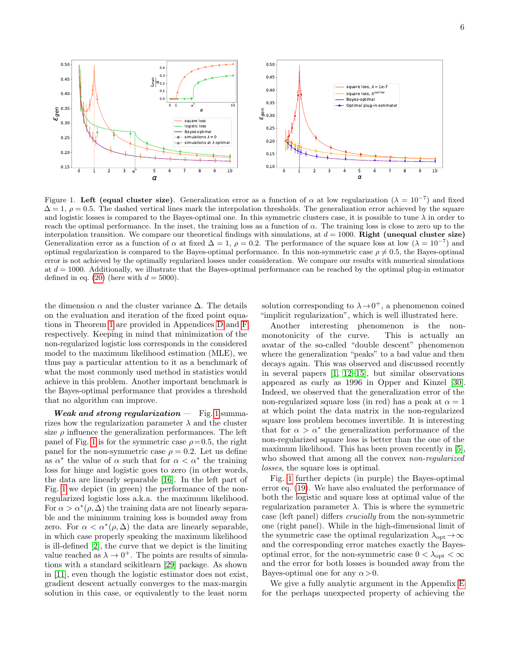

<span id="page-5-0"></span>Figure 1. Left (equal cluster size). Generalization error as a function of  $\alpha$  at low regularization ( $\lambda = 10^{-7}$ ) and fixed  $\Delta = 1$ ,  $\rho = 0.5$ . The dashed vertical lines mark the interpolation thresholds. The generalization error achieved by the square and logistic losses is compared to the Bayes-optimal one. In this symmetric clusters case, it is possible to tune  $\lambda$  in order to reach the optimal performance. In the inset, the training loss as a function of  $\alpha$ . The training loss is close to zero up to the interpolation transition. We compare our theoretical findings with simulations, at  $d = 1000$ . Right (unequal cluster size) Generalization error as a function of  $\alpha$  at fixed  $\Delta = 1$ ,  $\rho = 0.2$ . The performance of the square loss at low ( $\lambda = 10^{-7}$ ) and optimal regularization is compared to the Bayes-optimal performance. In this non-symmetric case  $\rho \neq 0.5$ , the Bayes-optimal error is not achieved by the optimally regularized losses under consideration. We compare our results with numerical simulations at  $d = 1000$ . Additionally, we illustrate that the Bayes-optimal performance can be reached by the optimal plug-in estimator defined in eq. [\(20\)](#page-2-6) (here with  $d = 5000$ ).

the dimension  $\alpha$  and the cluster variance  $\Delta$ . The details on the evaluation and iteration of the fixed point equations in Theorem [1](#page-1-0) are provided in Appendices [D](#page-16-1) and [F](#page-19-0) respectively. Keeping in mind that minimization of the non-regularized logistic loss corresponds in the considered model to the maximum likelihood estimation (MLE), we thus pay a particular attention to it as a benchmark of what the most commonly used method in statistics would achieve in this problem. Another important benchmark is the Bayes-optimal performance that provides a threshold that no algorithm can improve.

**Weak and strong regularization**  $-$  Fig. [1](#page-5-0) summarizes how the regularization parameter  $\lambda$  and the cluster size  $\rho$  influence the generalization performances. The left panel of Fig. [1](#page-5-0) is for the symmetric case  $\rho = 0.5$ , the right panel for the non-symmetric case  $\rho = 0.2$ . Let us define as  $\alpha^*$  the value of  $\alpha$  such that for  $\alpha < \alpha^*$  the training loss for hinge and logistic goes to zero (in other words, the data are linearly separable [\[16\]](#page-8-8). In the left part of Fig. [1](#page-5-0) we depict (in green) the performance of the nonregularized logistic loss a.k.a. the maximum likelihood. For  $\alpha > \alpha^*(\rho, \Delta)$  the training data are not linearly separable and the minimum training loss is bounded away from zero. For  $\alpha < \alpha^*(\rho, \Delta)$  the data are linearly separable, in which case properly speaking the maximum likelihood is ill-defined [\[2\]](#page-7-1), the curve that we depict is the limiting value reached as  $\lambda \to 0^+$ . The points are results of simulations with a standard scikitlearn [\[29\]](#page-8-19) package. As shown in [\[11\]](#page-8-5), even though the logistic estimator does not exist, gradient descent actually converges to the max-margin solution in this case, or equivalently to the least norm

solution corresponding to  $\lambda \rightarrow 0^+$ , a phenomenon coined "implicit regularization", which is well illustrated here.

Another interesting phenomenon is the nonmonotonicity of the curve. This is actually an avatar of the so-called "double descent" phenomenon where the generalization "peaks" to a bad value and then decays again. This was observed and discussed recently in several papers [\[1,](#page-7-0) [12–](#page-8-6)[15\]](#page-8-7), but similar observations appeared as early as 1996 in Opper and Kinzel [\[30\]](#page-8-20). Indeed, we observed that the generalization error of the non-regularized square loss (in red) has a peak at  $\alpha = 1$ at which point the data matrix in the non-regularized square loss problem becomes invertible. It is interesting that for  $\alpha > \alpha^*$  the generalization performance of the non-regularized square loss is better than the one of the maximum likelihood. This has been proven recently in [\[5\]](#page-8-0), who showed that among all the convex *non-regularized* losses, the square loss is optimal.

Fig. [1](#page-5-0) further depicts (in purple) the Bayes-optimal error eq. [\(19\)](#page-2-7). We have also evaluated the performance of both the logistic and square loss at optimal value of the regularization parameter  $\lambda$ . This is where the symmetric case (left panel) differs crucially from the non-symmetric one (right panel). While in the high-dimensional limit of the symmetric case the optimal regularization  $\lambda_{opt} \rightarrow \infty$ and the corresponding error matches exactly the Bayesoptimal error, for the non-symmetric case  $0 < \lambda_{\text{opt}} < \infty$ and the error for both losses is bounded away from the Bayes-optimal one for any  $\alpha > 0$ .

We give a fully analytic argument in the Appendix [E](#page-18-0) for the perhaps unexpected property of achieving the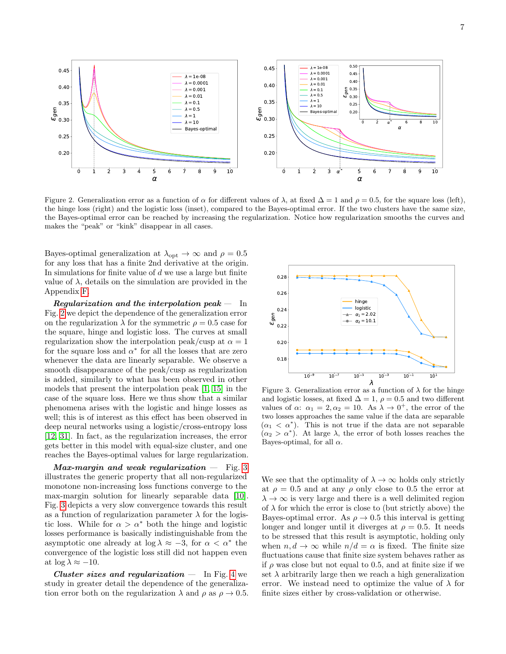

<span id="page-6-0"></span>Figure 2. Generalization error as a function of  $\alpha$  for different values of  $\lambda$ , at fixed  $\Delta = 1$  and  $\rho = 0.5$ , for the square loss (left), the hinge loss (right) and the logistic loss (inset), compared to the Bayes-optimal error. If the two clusters have the same size, the Bayes-optimal error can be reached by increasing the regularization. Notice how regularization smooths the curves and makes the "peak" or "kink" disappear in all cases.

Bayes-optimal generalization at  $\lambda_{\text{opt}} \to \infty$  and  $\rho = 0.5$ for any loss that has a finite 2nd derivative at the origin. In simulations for finite value of  $d$  we use a large but finite value of  $\lambda$ , details on the simulation are provided in the Appendix [F.](#page-19-0)

Regularization and the interpolation peak  $-$  In Fig. [2](#page-6-0) we depict the dependence of the generalization error on the regularization  $\lambda$  for the symmetric  $\rho = 0.5$  case for the square, hinge and logistic loss. The curves at small regularization show the interpolation peak/cusp at  $\alpha = 1$ for the square loss and  $\alpha^*$  for all the losses that are zero whenever the data are linearly separable. We observe a smooth disappearance of the peak/cusp as regularization is added, similarly to what has been observed in other models that present the interpolation peak [\[1,](#page-7-0) [15\]](#page-8-7) in the case of the square loss. Here we thus show that a similar phenomena arises with the logistic and hinge losses as well; this is of interest as this effect has been observed in deep neural networks using a logistic/cross-entropy loss [\[12,](#page-8-6) [31\]](#page-8-21). In fact, as the regularization increases, the error gets better in this model with equal-size cluster, and one reaches the Bayes-optimal values for large regularization.

Max-margin and weak regularization  $-$  Fig. [3](#page-6-1) illustrates the generic property that all non-regularized monotone non-increasing loss functions converge to the max-margin solution for linearly separable data [\[10\]](#page-8-4). Fig. [3](#page-6-1) depicts a very slow convergence towards this result as a function of regularization parameter  $\lambda$  for the logistic loss. While for  $\alpha > \alpha^*$  both the hinge and logistic losses performance is basically indistinguishable from the asymptotic one already at  $log \lambda \approx -3$ , for  $\alpha < \alpha^*$  the convergence of the logistic loss still did not happen even at  $\log \lambda \approx -10$ .

Cluster sizes and regularization  $-$  In Fig. [4](#page-7-4) we study in greater detail the dependence of the generalization error both on the regularization  $\lambda$  and  $\rho$  as  $\rho \to 0.5$ .



<span id="page-6-1"></span>Figure 3. Generalization error as a function of  $\lambda$  for the hinge and logistic losses, at fixed  $\Delta = 1$ ,  $\rho = 0.5$  and two different values of  $\alpha$ :  $\alpha_1 = 2, \alpha_2 = 10$ . As  $\lambda \to 0^+$ , the error of the two losses approaches the same value if the data are separable  $(\alpha_1 < \alpha^*)$ . This is not true if the data are not separable  $(\alpha_2 > \alpha^*)$ . At large  $\lambda$ , the error of both losses reaches the Bayes-optimal, for all  $\alpha$ .

We see that the optimality of  $\lambda \to \infty$  holds only strictly at  $\rho = 0.5$  and at any  $\rho$  only close to 0.5 the error at  $\lambda \rightarrow \infty$  is very large and there is a well delimited region of  $\lambda$  for which the error is close to (but strictly above) the Bayes-optimal error. As  $\rho \rightarrow 0.5$  this interval is getting longer and longer until it diverges at  $\rho = 0.5$ . It needs to be stressed that this result is asymptotic, holding only when  $n, d \to \infty$  while  $n/d = \alpha$  is fixed. The finite size fluctuations cause that finite size system behaves rather as if  $\rho$  was close but not equal to 0.5, and at finite size if we set  $\lambda$  arbitrarily large then we reach a high generalization error. We instead need to optimize the value of  $\lambda$  for finite sizes either by cross-validation or otherwise.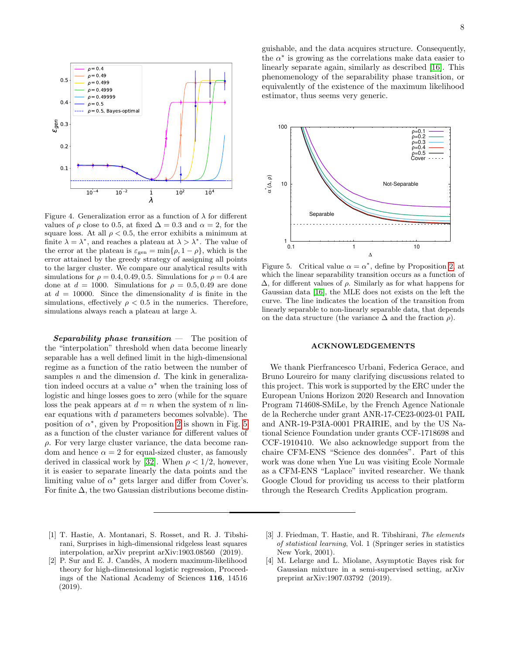

<span id="page-7-4"></span>Figure 4. Generalization error as a function of  $\lambda$  for different values of  $\rho$  close to 0.5, at fixed  $\Delta = 0.3$  and  $\alpha = 2$ , for the square loss. At all  $\rho < 0.5$ , the error exhibits a minimum at finite  $\lambda = \lambda^*$ , and reaches a plateau at  $\lambda > \lambda^*$ . The value of the error at the plateau is  $\varepsilon_{gen} = \min\{\rho, 1-\rho\}$ , which is the error attained by the greedy strategy of assigning all points to the larger cluster. We compare our analytical results with simulations for  $\rho = 0.4, 0.49, 0.5$ . Simulations for  $\rho = 0.4$  are done at  $d = 1000$ . Simulations for  $\rho = 0.5, 0.49$  are done at  $d = 10000$ . Since the dimensionality d is finite in the simulations, effectively  $\rho < 0.5$  in the numerics. Therefore, simulations always reach a plateau at large  $\lambda$ .

Separability phase transition  $-$  The position of the "interpolation" threshold when data become linearly separable has a well defined limit in the high-dimensional regime as a function of the ratio between the number of samples  $n$  and the dimension  $d$ . The kink in generalization indeed occurs at a value  $\alpha^*$  when the training loss of logistic and hinge losses goes to zero (while for the square loss the peak appears at  $d = n$  when the system of n linear equations with d parameters becomes solvable). The position of  $\alpha^*$ , given by Proposition [2](#page-3-4) is shown in Fig. [5](#page-7-5) as a function of the cluster variance for different values of  $\rho$ . For very large cluster variance, the data become random and hence  $\alpha = 2$  for equal-sized cluster, as famously derived in classical work by [\[32\]](#page-8-22). When  $\rho < 1/2$ , however, it is easier to separate linearly the data points and the limiting value of  $\alpha^*$  gets larger and differ from Cover's. For finite  $\Delta$ , the two Gaussian distributions become distinguishable, and the data acquires structure. Consequently, the  $\alpha^*$  is growing as the correlations make data easier to linearly separate again, similarly as described [\[16\]](#page-8-8). This phenomenology of the separability phase transition, or equivalently of the existence of the maximum likelihood estimator, thus seems very generic.



<span id="page-7-5"></span>Figure 5. Critical value  $\alpha = \alpha^*$ , define by Proposition [2,](#page-3-4) at which the linear separability transition occurs as a function of  $Δ$ , for different values of  $ρ$ . Similarly as for what happens for Gaussian data [\[16\]](#page-8-8), the MLE does not exists on the left the curve. The line indicates the location of the transition from linearly separable to non-linearly separable data, that depends on the data structure (the variance  $\Delta$  and the fraction  $\rho$ ).

#### ACKNOWLEDGEMENTS

We thank Pierfrancesco Urbani, Federica Gerace, and Bruno Loureiro for many clarifying discussions related to this project. This work is supported by the ERC under the European Unions Horizon 2020 Research and Innovation Program 714608-SMiLe, by the French Agence Nationale de la Recherche under grant ANR-17-CE23-0023-01 PAIL and ANR-19-P3IA-0001 PRAIRIE, and by the US National Science Foundation under grants CCF-1718698 and CCF-1910410. We also acknowledge support from the chaire CFM-ENS "Science des données". Part of this work was done when Yue Lu was visiting Ecole Normale as a CFM-ENS "Laplace" invited researcher. We thank Google Cloud for providing us access to their platform through the Research Credits Application program.

- <span id="page-7-0"></span>[1] T. Hastie, A. Montanari, S. Rosset, and R. J. Tibshirani, Surprises in high-dimensional ridgeless least squares interpolation, arXiv preprint arXiv:1903.08560 (2019).
- <span id="page-7-1"></span>[2] P. Sur and E. J. Candès, A modern maximum-likelihood theory for high-dimensional logistic regression, Proceedings of the National Academy of Sciences 116, 14516 (2019).
- <span id="page-7-2"></span>[3] J. Friedman, T. Hastie, and R. Tibshirani, The elements of statistical learning, Vol. 1 (Springer series in statistics New York, 2001).
- <span id="page-7-3"></span>[4] M. Lelarge and L. Miolane, Asymptotic Bayes risk for Gaussian mixture in a semi-supervised setting, arXiv preprint arXiv:1907.03792 (2019).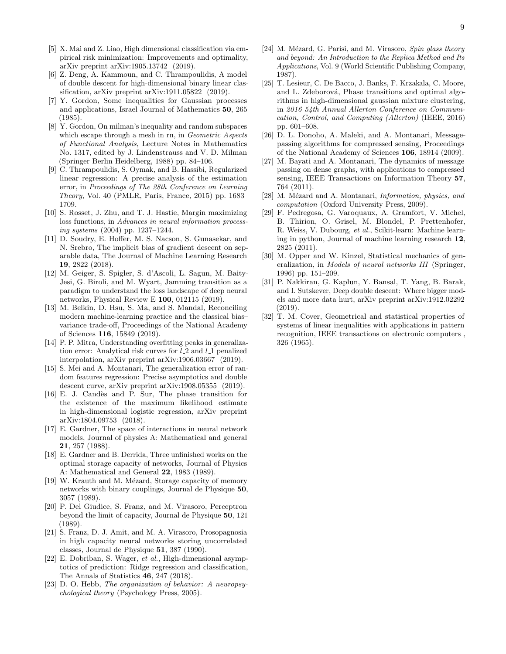- <span id="page-8-0"></span>[5] X. Mai and Z. Liao, High dimensional classification via empirical risk minimization: Improvements and optimality, arXiv preprint arXiv:1905.13742 (2019).
- <span id="page-8-1"></span>[6] Z. Deng, A. Kammoun, and C. Thrampoulidis, A model of double descent for high-dimensional binary linear classification, arXiv preprint arXiv:1911.05822 (2019).
- <span id="page-8-2"></span>[7] Y. Gordon, Some inequalities for Gaussian processes and applications, Israel Journal of Mathematics 50, 265 (1985).
- [8] Y. Gordon, On milman's inequality and random subspaces which escape through a mesh in rn, in Geometric Aspects of Functional Analysis, Lecture Notes in Mathematics No. 1317, edited by J. Lindenstrauss and V. D. Milman (Springer Berlin Heidelberg, 1988) pp. 84–106.
- <span id="page-8-3"></span>[9] C. Thrampoulidis, S. Oymak, and B. Hassibi, Regularized linear regression: A precise analysis of the estimation error, in Proceedings of The 28th Conference on Learning Theory, Vol. 40 (PMLR, Paris, France, 2015) pp. 1683– 1709.
- <span id="page-8-4"></span>[10] S. Rosset, J. Zhu, and T. J. Hastie, Margin maximizing loss functions, in Advances in neural information processing systems (2004) pp. 1237–1244.
- <span id="page-8-5"></span>[11] D. Soudry, E. Hoffer, M. S. Nacson, S. Gunasekar, and N. Srebro, The implicit bias of gradient descent on separable data, The Journal of Machine Learning Research 19, 2822 (2018).
- <span id="page-8-6"></span>[12] M. Geiger, S. Spigler, S. d'Ascoli, L. Sagun, M. Baity-Jesi, G. Biroli, and M. Wyart, Jamming transition as a paradigm to understand the loss landscape of deep neural networks, Physical Review E 100, 012115 (2019).
- [13] M. Belkin, D. Hsu, S. Ma, and S. Mandal, Reconciling modern machine-learning practice and the classical bias– variance trade-off, Proceedings of the National Academy of Sciences 116, 15849 (2019).
- [14] P. P. Mitra, Understanding overfitting peaks in generalization error: Analytical risk curves for  $l_2$  and  $l_1$  penalized interpolation, arXiv preprint arXiv:1906.03667 (2019).
- <span id="page-8-7"></span>[15] S. Mei and A. Montanari, The generalization error of random features regression: Precise asymptotics and double descent curve, arXiv preprint arXiv:1908.05355 (2019).
- <span id="page-8-8"></span>[16] E. J. Candès and P. Sur, The phase transition for the existence of the maximum likelihood estimate in high-dimensional logistic regression, arXiv preprint arXiv:1804.09753 (2018).
- <span id="page-8-9"></span>[17] E. Gardner, The space of interactions in neural network models, Journal of physics A: Mathematical and general 21, 257 (1988).
- [18] E. Gardner and B. Derrida, Three unfinished works on the optimal storage capacity of networks, Journal of Physics A: Mathematical and General 22, 1983 (1989).
- <span id="page-8-10"></span>[19] W. Krauth and M. Mézard, Storage capacity of memory networks with binary couplings, Journal de Physique 50, 3057 (1989).
- <span id="page-8-11"></span>[20] P. Del Giudice, S. Franz, and M. Virasoro, Perceptron beyond the limit of capacity, Journal de Physique 50, 121 (1989).
- <span id="page-8-12"></span>[21] S. Franz, D. J. Amit, and M. A. Virasoro, Prosopagnosia in high capacity neural networks storing uncorrelated classes, Journal de Physique 51, 387 (1990).
- <span id="page-8-13"></span>[22] E. Dobriban, S. Wager, et al., High-dimensional asymptotics of prediction: Ridge regression and classification, The Annals of Statistics 46, 247 (2018).
- <span id="page-8-14"></span>[23] D. O. Hebb, *The organization of behavior: A neuropsy*chological theory (Psychology Press, 2005).
- <span id="page-8-15"></span>[24] M. Mézard, G. Parisi, and M. Virasoro, Spin glass theory and beyond: An Introduction to the Replica Method and Its Applications, Vol. 9 (World Scientific Publishing Company, 1987).
- <span id="page-8-16"></span>[25] T. Lesieur, C. De Bacco, J. Banks, F. Krzakala, C. Moore, and L. Zdeborová, Phase transitions and optimal algorithms in high-dimensional gaussian mixture clustering, in 2016 54th Annual Allerton Conference on Communication, Control, and Computing (Allerton) (IEEE, 2016) pp. 601–608.
- [26] D. L. Donoho, A. Maleki, and A. Montanari, Messagepassing algorithms for compressed sensing, Proceedings of the National Academy of Sciences 106, 18914 (2009).
- <span id="page-8-17"></span>[27] M. Bayati and A. Montanari, The dynamics of message passing on dense graphs, with applications to compressed sensing, IEEE Transactions on Information Theory 57, 764 (2011).
- <span id="page-8-18"></span>[28] M. Mézard and A. Montanari, *Information*, *physics*, and computation (Oxford University Press, 2009).
- <span id="page-8-19"></span>[29] F. Pedregosa, G. Varoquaux, A. Gramfort, V. Michel, B. Thirion, O. Grisel, M. Blondel, P. Prettenhofer, R. Weiss, V. Dubourg, et al., Scikit-learn: Machine learning in python, Journal of machine learning research 12, 2825 (2011).
- <span id="page-8-20"></span>[30] M. Opper and W. Kinzel, Statistical mechanics of generalization, in Models of neural networks III (Springer, 1996) pp. 151–209.
- <span id="page-8-21"></span>[31] P. Nakkiran, G. Kaplun, Y. Bansal, T. Yang, B. Barak, and I. Sutskever, Deep double descent: Where bigger models and more data hurt, arXiv preprint arXiv:1912.02292 (2019).
- <span id="page-8-22"></span>[32] T. M. Cover, Geometrical and statistical properties of systems of linear inequalities with applications in pattern recognition, IEEE transactions on electronic computers , 326 (1965).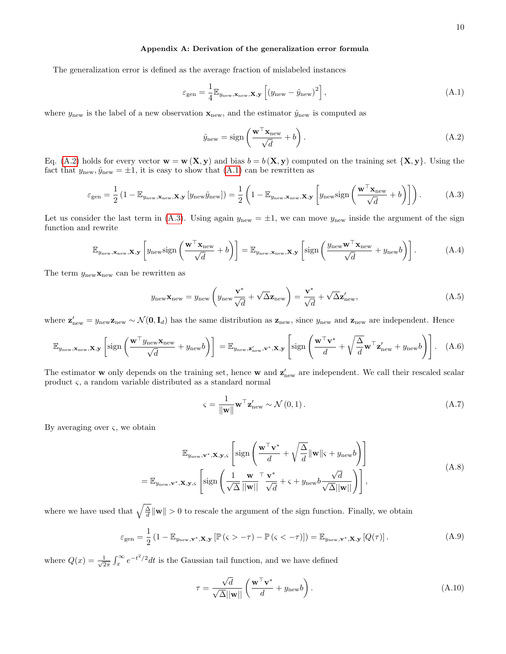## <span id="page-9-0"></span>Appendix A: Derivation of the generalization error formula

The generalization error is defined as the average fraction of mislabeled instances

<span id="page-9-2"></span>
$$
\varepsilon_{\text{gen}} = \frac{1}{4} \mathbb{E}_{y_{\text{new}}, \mathbf{x}_{\text{new}}, \mathbf{X}, \mathbf{y}} \left[ \left( y_{\text{new}} - \hat{y}_{\text{new}} \right)^2 \right],\tag{A.1}
$$

where  $y_{\text{new}}$  is the label of a new observation  $\mathbf{x}_{\text{new}}$ , and the estimator  $\hat{y}_{\text{new}}$  is computed as

<span id="page-9-1"></span>
$$
\hat{y}_{\text{new}} = \text{sign}\left(\frac{\mathbf{w}^{\top}\mathbf{x}_{\text{new}}}{\sqrt{d}} + b\right). \tag{A.2}
$$

Eq. [\(A.2\)](#page-9-1) holds for every vector  $\mathbf{w} = \mathbf{w}(\mathbf{X}, \mathbf{y})$  and bias  $b = b(\mathbf{X}, \mathbf{y})$  computed on the training set  $\{\mathbf{X}, \mathbf{y}\}\)$ . Using the fact that  $y_{\text{new}}, \hat{y}_{\text{new}} = \pm 1$ , it is easy to show that  $(A.1)$  can be rewritten as

<span id="page-9-3"></span>
$$
\varepsilon_{\text{gen}} = \frac{1}{2} \left( 1 - \mathbb{E}_{y_{\text{new}}, \mathbf{x}_{\text{new}}, \mathbf{X}, \mathbf{y}} \left[ y_{\text{new}} \hat{y}_{\text{new}} \right] \right) = \frac{1}{2} \left( 1 - \mathbb{E}_{y_{\text{new}}, \mathbf{x}_{\text{new}}, \mathbf{X}, \mathbf{y}} \left[ y_{\text{new}} \text{sign} \left( \frac{\mathbf{w}^{\top} \mathbf{x}_{\text{new}}}{\sqrt{d}} + b \right) \right] \right). \tag{A.3}
$$

Let us consider the last term in [\(A.3\)](#page-9-3). Using again  $y_{\text{new}} = \pm 1$ , we can move  $y_{\text{new}}$  inside the argument of the sign function and rewrite

$$
\mathbb{E}_{y_{\text{new}}, \mathbf{x}_{\text{new}}, \mathbf{X}, \mathbf{y}} \left[ y_{\text{new}} \text{sign}\left( \frac{\mathbf{w}^{\top} \mathbf{x}_{\text{new}}}{\sqrt{d}} + b \right) \right] = \mathbb{E}_{y_{\text{new}}, \mathbf{x}_{\text{new}}, \mathbf{X}, \mathbf{y}} \left[ \text{sign}\left( \frac{y_{\text{new}} \mathbf{w}^{\top} \mathbf{x}_{\text{new}}}{\sqrt{d}} + y_{\text{new}} b \right) \right].
$$
 (A.4)

The term  $y_{\text{new}}$ **x**<sub>new</sub> can be rewritten as

$$
y_{\text{new}} \mathbf{x}_{\text{new}} = y_{\text{new}} \left( y_{\text{new}} \frac{\mathbf{v}^*}{\sqrt{d}} + \sqrt{\Delta} \mathbf{z}_{\text{new}} \right) = \frac{\mathbf{v}^*}{\sqrt{d}} + \sqrt{\Delta} \mathbf{z}_{\text{new}}', \tag{A.5}
$$

where  $\mathbf{z}'_{\text{new}} = y_{\text{new}} \mathbf{z}_{\text{new}} \sim \mathcal{N}(\mathbf{0}, \mathbf{I}_d)$  has the same distribution as  $\mathbf{z}_{\text{new}}$ , since  $y_{\text{new}}$  and  $\mathbf{z}_{\text{new}}$  are independent. Hence

$$
\mathbb{E}_{y_{\text{new}}, \mathbf{x}_{\text{new}}, \mathbf{X}, \mathbf{y}} \left[ \text{sign}\left(\frac{\mathbf{w}^{\top} y_{\text{new}} \mathbf{x}_{\text{new}}}{\sqrt{d}} + y_{\text{new}} b \right) \right] = \mathbb{E}_{y_{\text{new}}, \mathbf{z}_{\text{new}}', \mathbf{v}^*, \mathbf{X}, \mathbf{y}} \left[ \text{sign}\left(\frac{\mathbf{w}^{\top} \mathbf{v}^*}{d} + \sqrt{\frac{\Delta}{d}} \mathbf{w}^{\top} \mathbf{z}_{\text{new}}' + y_{\text{new}} b \right) \right]. \quad (A.6)
$$

The estimator **w** only depends on the training set, hence **w** and  $z'_{\text{new}}$  are independent. We call their rescaled scalar product ς, a random variable distributed as a standard normal

$$
\varsigma = \frac{1}{\|\mathbf{w}\|} \mathbf{w}^{\top} \mathbf{z}_{\text{new}}' \sim \mathcal{N}(0, 1). \tag{A.7}
$$

By averaging over  $\varsigma$ , we obtain

$$
\mathbb{E}_{y_{\text{new}}, \mathbf{v}^*, \mathbf{X}, \mathbf{y}, \varsigma} \left[ \text{sign}\left( \frac{\mathbf{w}^\top \mathbf{v}^*}{d} + \sqrt{\frac{\Delta}{d}} ||\mathbf{w}|| \varsigma + y_{\text{new}} b \right) \right]
$$
\n
$$
= \mathbb{E}_{y_{\text{new}}, \mathbf{v}^*, \mathbf{X}, \mathbf{y}, \varsigma} \left[ \text{sign}\left( \frac{1}{\sqrt{\Delta}} \frac{\mathbf{w}}{||\mathbf{w}||}^\top \frac{\mathbf{v}^*}{\sqrt{d}} + \varsigma + y_{\text{new}} b \frac{\sqrt{d}}{\sqrt{\Delta} ||\mathbf{w}||} \right) \right],
$$
\n(A.8)

where we have used that  $\sqrt{\frac{\Delta}{d}}\|\mathbf{w}\| > 0$  to rescale the argument of the sign function. Finally, we obtain

$$
\varepsilon_{\text{gen}} = \frac{1}{2} \left( 1 - \mathbb{E}_{y_{\text{new}}, \mathbf{v}^*, \mathbf{X}, \mathbf{y}} \left[ \mathbb{P} \left( \varsigma > -\tau \right) - \mathbb{P} \left( \varsigma < -\tau \right) \right] \right) = \mathbb{E}_{y_{\text{new}}, \mathbf{v}^*, \mathbf{X}, \mathbf{y}} \left[ Q(\tau) \right]. \tag{A.9}
$$

where  $Q(x) = \frac{1}{\sqrt{2}}$  $\frac{1}{2\pi} \int_x^{\infty} e^{-t^2/2} dt$  is the Gaussian tail function, and we have defined

$$
\tau = \frac{\sqrt{d}}{\sqrt{\Delta}||\mathbf{w}||} \left( \frac{\mathbf{w}^\top \mathbf{v}^*}{d} + y_{\text{new}} b \right). \tag{A.10}
$$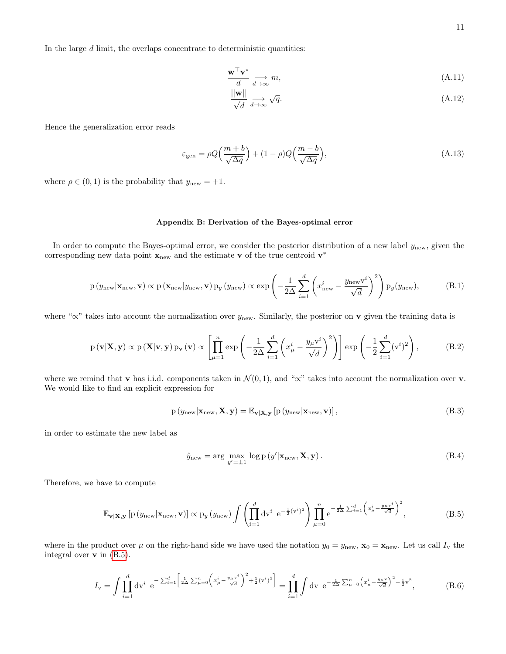$$
\frac{\mathbf{w}^{\top}\mathbf{v}^*}{d} \underset{d \to \infty}{\longrightarrow} m,\tag{A.11}
$$

$$
\frac{\|\mathbf{w}\|}{\sqrt{d}} \underset{d \to \infty}{\longrightarrow} \sqrt{q}.\tag{A.12}
$$

Hence the generalization error reads

<span id="page-10-2"></span>
$$
\varepsilon_{\text{gen}} = \rho Q \Big(\frac{m+b}{\sqrt{\Delta q}}\Big) + (1-\rho) Q \Big(\frac{m-b}{\sqrt{\Delta q}}\Big),\tag{A.13}
$$

where  $\rho \in (0, 1)$  is the probability that  $y_{\text{new}} = +1$ .

## <span id="page-10-0"></span>Appendix B: Derivation of the Bayes-optimal error

In order to compute the Bayes-optimal error, we consider the posterior distribution of a new label  $y_{\text{new}}$ , given the corresponding new data point  $\mathbf{x}_{\text{new}}$  and the estimate **v** of the true centroid  $\mathbf{v}^*$ 

$$
p(y_{new}|\mathbf{x}_{new}, \mathbf{v}) \propto p(\mathbf{x}_{new}|y_{new}, \mathbf{v}) p_y(y_{new}) \propto \exp\left(-\frac{1}{2\Delta} \sum_{i=1}^d \left(x_{new}^i - \frac{y_{new}v^i}{\sqrt{d}}\right)^2\right) p_y(y_{new}),\tag{B.1}
$$

where " $\propto$ " takes into account the normalization over  $y_{\text{new}}$ . Similarly, the posterior on **v** given the training data is

$$
p(\mathbf{v}|\mathbf{X}, \mathbf{y}) \propto p(\mathbf{X}|\mathbf{v}, \mathbf{y}) p_{\mathbf{v}}(\mathbf{v}) \propto \left[ \prod_{\mu=1}^{n} \exp \left( -\frac{1}{2\Delta} \sum_{i=1}^{d} \left( x_{\mu}^{i} - \frac{y_{\mu} v^{i}}{\sqrt{d}} \right)^{2} \right) \right] \exp \left( -\frac{1}{2} \sum_{i=1}^{d} (v^{i})^{2} \right), \tag{B.2}
$$

where we remind that v has i.i.d. components taken in  $\mathcal{N}(0,1)$ , and " $\propto$ " takes into account the normalization over v. We would like to find an explicit expression for

$$
p(y_{new}|\mathbf{x}_{new}, \mathbf{X}, \mathbf{y}) = \mathbb{E}_{\mathbf{v}|\mathbf{X}, \mathbf{y}} \left[ p(y_{new}|\mathbf{x}_{new}, \mathbf{v}) \right],
$$
\n(B.3)

in order to estimate the new label as

$$
\hat{y}_{\text{new}} = \arg \max_{y'=\pm 1} \log p(y' | \mathbf{x}_{\text{new}}, \mathbf{X}, \mathbf{y}). \tag{B.4}
$$

<span id="page-10-1"></span>Therefore, we have to compute

$$
\mathbb{E}_{\mathbf{v}|\mathbf{X},\mathbf{y}}\left[p\left(y_{\text{new}}|\mathbf{x}_{\text{new}},\mathbf{v}\right)\right] \propto p_{y}\left(y_{\text{new}}\right) \int \left(\prod_{i=1}^{d} dv^{i} e^{-\frac{1}{2}(v^{i})^{2}}\right) \prod_{\mu=0}^{n} e^{-\frac{1}{2\Delta} \sum_{i=1}^{d} \left(x_{\mu}^{i} - \frac{y_{\mu}v^{i}}{\sqrt{d}}\right)^{2}},\tag{B.5}
$$

where in the product over  $\mu$  on the right-hand side we have used the notation  $y_0 = y_{\text{new}}$ ,  $\mathbf{x}_0 = \mathbf{x}_{\text{new}}$ . Let us call  $I_v$  the integral over  $\bf{v}$  in [\(B.5\)](#page-10-1).

$$
I_{\mathbf{v}} = \int \prod_{i=1}^{d} \mathrm{d} \mathbf{v}^{i} \ \mathrm{e}^{-\sum_{i=1}^{d} \left[ \frac{1}{2\Delta} \sum_{\mu=0}^{n} \left( x_{\mu}^{i} - \frac{y_{\mu} \mathbf{v}^{i}}{\sqrt{d}} \right)^{2} + \frac{1}{2} (\mathbf{v}^{i})^{2} \right]} = \prod_{i=1}^{d} \int \mathrm{d} \mathbf{v} \ \mathrm{e}^{-\frac{1}{2\Delta} \sum_{\mu=0}^{n} \left( x_{\mu}^{i} - \frac{y_{\mu} \mathbf{v}}{\sqrt{d}} \right)^{2} - \frac{1}{2} \mathbf{v}^{2}}, \tag{B.6}
$$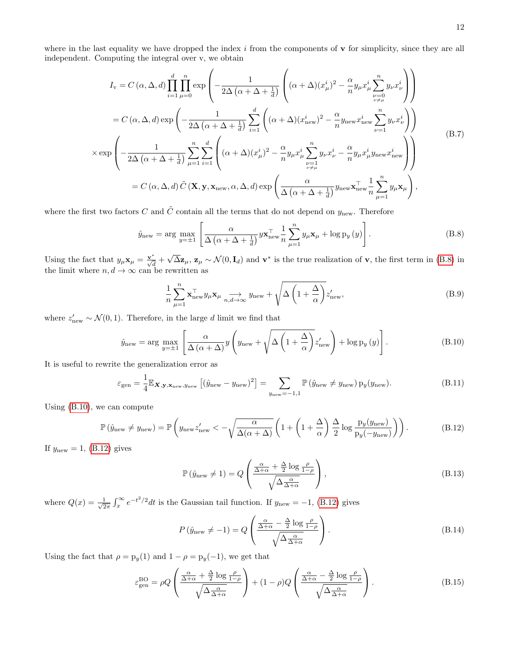where in the last equality we have dropped the index  $i$  from the components of  $\bf{v}$  for simplicity, since they are all independent. Computing the integral over v, we obtain

$$
I_{\mathbf{v}} = C(\alpha, \Delta, d) \prod_{i=1}^{d} \prod_{\mu=0}^{n} \exp \left( -\frac{1}{2\Delta \left( \alpha + \Delta + \frac{1}{d} \right)} \left( (\alpha + \Delta)(x_{\mu}^{i})^{2} - \frac{\alpha}{n} y_{\mu} x_{\mu}^{i} \sum_{\substack{\nu=0 \\ \nu \neq \mu}}^{n} y_{\nu} x_{\nu}^{i} \right) \right)
$$
  
\n
$$
= C(\alpha, \Delta, d) \exp \left( -\frac{1}{2\Delta \left( \alpha + \Delta + \frac{1}{d} \right)} \sum_{i=1}^{d} \left( (\alpha + \Delta)(x_{\text{new}}^{i})^{2} - \frac{\alpha}{n} y_{\text{new}} x_{\text{new}}^{i} \sum_{\nu=1}^{n} y_{\nu} x_{\nu}^{i} \right) \right)
$$
  
\n
$$
\times \exp \left( -\frac{1}{2\Delta \left( \alpha + \Delta + \frac{1}{d} \right)} \sum_{\mu=1}^{n} \sum_{i=1}^{d} \left( (\alpha + \Delta)(x_{\mu}^{i})^{2} - \frac{\alpha}{n} y_{\mu} x_{\mu}^{i} \sum_{\substack{\nu=1 \\ \nu \neq \mu}}^{n} y_{\nu} x_{\nu}^{i} - \frac{\alpha}{n} y_{\mu} x_{\mu}^{i} y_{\text{new}} x_{\text{new}}^{i} \right) \right)
$$
  
\n
$$
= C(\alpha, \Delta, d) \tilde{C}(\mathbf{X}, \mathbf{y}, \mathbf{x}_{\text{new}}, \alpha, \Delta, d) \exp \left( \frac{\alpha}{\Delta \left( \alpha + \Delta + \frac{1}{d} \right)} y_{\text{new}} \mathbf{x}_{\text{new}}^{\top} \frac{1}{n} \sum_{\mu=1}^{n} y_{\mu} \mathbf{x}_{\mu} \right),
$$
\n(B.7)

where the first two factors C and  $\tilde{C}$  contain all the terms that do not depend on  $y_{\text{new}}$ . Therefore

<span id="page-11-0"></span>
$$
\hat{y}_{\text{new}} = \arg \max_{y=\pm 1} \left[ \frac{\alpha}{\Delta \left( \alpha + \Delta + \frac{1}{d} \right)} y \mathbf{x}_{\text{new}}^{\top} \frac{1}{n} \sum_{\mu=1}^{n} y_{\mu} \mathbf{x}_{\mu} + \log p_{y} \left( y \right) \right]. \tag{B.8}
$$

Using the fact that  $y_{\mu} \mathbf{x}_{\mu} = \frac{\mathbf{v}^*}{\sqrt{d}} +$  $\overline{\Delta z}_{\mu}$ ,  $z_{\mu} \sim \mathcal{N}(0, \mathbf{I}_d)$  and  $\mathbf{v}^*$  is the true realization of v, the first term in [\(B.8\)](#page-11-0) in the limit where  $n, d \to \infty$  can be rewritten as

$$
\frac{1}{n} \sum_{\mu=1}^{n} \mathbf{x}_{\text{new}}^{\top} y_{\mu} \mathbf{x}_{\mu} \underset{n,d \to \infty}{\longrightarrow} y_{\text{new}} + \sqrt{\Delta \left(1 + \frac{\Delta}{\alpha}\right)} z_{\text{new}}', \tag{B.9}
$$

<span id="page-11-4"></span>where  $z'_{\text{new}} \sim \mathcal{N}(0, 1)$ . Therefore, in the large d limit we find that

<span id="page-11-1"></span>
$$
\hat{y}_{\text{new}} = \arg \max_{y=\pm 1} \left[ \frac{\alpha}{\Delta \left( \alpha + \Delta \right)} y \left( y_{\text{new}} + \sqrt{\Delta \left( 1 + \frac{\Delta}{\alpha} \right)} z'_{\text{new}} \right) + \log p_y \left( y \right) \right]. \tag{B.10}
$$

It is useful to rewrite the generalization error as

$$
\varepsilon_{\text{gen}} = \frac{1}{4} \mathbb{E}_{\mathbf{X}, \mathbf{y}, \mathbf{x}_{\text{new}}, y_{\text{new}}} \left[ (\hat{y}_{\text{new}} - y_{\text{new}})^2 \right] = \sum_{y_{\text{new}} = -1, 1} \mathbb{P} \left( \hat{y}_{\text{new}} \neq y_{\text{new}} \right) p_y(y_{\text{new}}). \tag{B.11}
$$

<span id="page-11-2"></span>Using [\(B.10\)](#page-11-1), we can compute

$$
\mathbb{P}\left(\hat{y}_{\text{new}} \neq y_{\text{new}}\right) = \mathbb{P}\left(y_{\text{new}} z'_{\text{new}} < -\sqrt{\frac{\alpha}{\Delta(\alpha + \Delta)}} \left(1 + \left(1 + \frac{\Delta}{\alpha}\right) \frac{\Delta}{2} \log \frac{p_y(y_{\text{new}})}{p_y(-y_{\text{new}})}\right)\right). \tag{B.12}
$$

If  $y_{\text{new}} = 1$ , [\(B.12\)](#page-11-2) gives

$$
\mathbb{P}\left(\hat{y}_{\text{new}} \neq 1\right) = Q\left(\frac{\frac{\alpha}{\Delta + \alpha} + \frac{\Delta}{2}\log\frac{\rho}{1-\rho}}{\sqrt{\Delta \frac{\alpha}{\Delta + \alpha}}}\right),\tag{B.13}
$$

where  $Q(x) = \frac{1}{\sqrt{2}}$  $\frac{1}{2\pi} \int_x^{\infty} e^{-t^2/2} dt$  is the Gaussian tail function. If  $y_{\text{new}} = -1$ , [\(B.12\)](#page-11-2) gives

$$
P\left(\hat{y}_{\text{new}} \neq -1\right) = Q\left(\frac{\frac{\alpha}{\Delta + \alpha} - \frac{\Delta}{2}\log\frac{\rho}{1-\rho}}{\sqrt{\Delta \frac{\alpha}{\Delta + \alpha}}}\right). \tag{B.14}
$$

Using the fact that  $\rho = p_y(1)$  and  $1 - \rho = p_y(-1)$ , we get that

<span id="page-11-3"></span>
$$
\varepsilon_{\text{gen}}^{\text{BO}} = \rho Q \left( \frac{\frac{\alpha}{\Delta + \alpha} + \frac{\Delta}{2} \log \frac{\rho}{1 - \rho}}{\sqrt{\Delta \frac{\alpha}{\Delta + \alpha}}} \right) + (1 - \rho) Q \left( \frac{\frac{\alpha}{\Delta + \alpha} - \frac{\Delta}{2} \log \frac{\rho}{1 - \rho}}{\sqrt{\Delta \frac{\alpha}{\Delta + \alpha}}} \right). \tag{B.15}
$$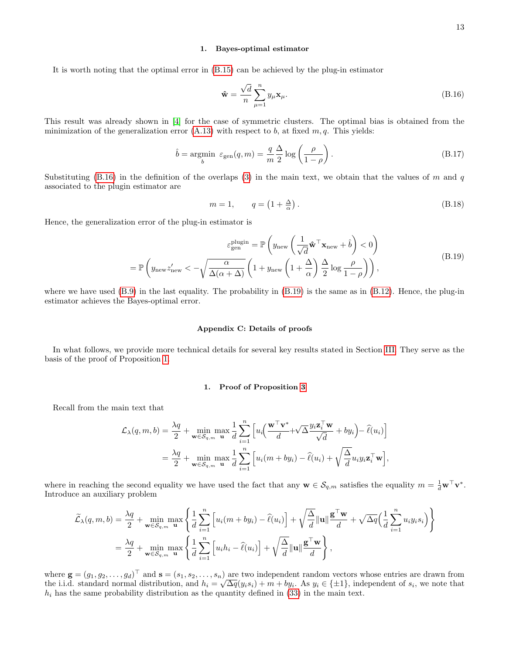#### 1. Bayes-optimal estimator

It is worth noting that the optimal error in [\(B.15\)](#page-11-3) can be achieved by the plug-in estimator

<span id="page-12-2"></span>
$$
\hat{\mathbf{w}} = \frac{\sqrt{d}}{n} \sum_{\mu=1}^{n} y_{\mu} \mathbf{x}_{\mu}.
$$
\n(B.16)

This result was already shown in [\[4\]](#page-7-3) for the case of symmetric clusters. The optimal bias is obtained from the minimization of the generalization error  $(A.13)$  with respect to b, at fixed  $m, q$ . This yields:

$$
\hat{b} = \underset{b}{\text{argmin}} \ \varepsilon_{\text{gen}}(q, m) = \frac{q}{m} \frac{\Delta}{2} \log \left( \frac{\rho}{1 - \rho} \right). \tag{B.17}
$$

Substituting [\(B.16\)](#page-12-2) in the definition of the overlaps [\(3\)](#page-1-5) in the main text, we obtain that the values of m and q associated to the plugin estimator are

$$
m = 1, \qquad q = \left(1 + \frac{\Delta}{\alpha}\right). \tag{B.18}
$$

<span id="page-12-3"></span>Hence, the generalization error of the plug-in estimator is

$$
\varepsilon_{\text{gen}}^{\text{plugin}} = \mathbb{P}\left(y_{\text{new}}\left(\frac{1}{\sqrt{d}}\mathbf{\hat{w}}^{\top}\mathbf{x}_{\text{new}} + \hat{b}\right) < 0\right)
$$
\n
$$
= \mathbb{P}\left(y_{\text{new}}z'_{\text{new}} < -\sqrt{\frac{\alpha}{\Delta(\alpha + \Delta)}}\left(1 + y_{\text{new}}\left(1 + \frac{\Delta}{\alpha}\right)\frac{\Delta}{2}\log\frac{\rho}{1 - \rho}\right)\right),\tag{B.19}
$$

where we have used  $(B.9)$  in the last equality. The probability in  $(B.19)$  is the same as in  $(B.12)$ . Hence, the plug-in estimator achieves the Bayes-optimal error.

#### <span id="page-12-0"></span>Appendix C: Details of proofs

In what follows, we provide more technical details for several key results stated in Section [III.](#page-3-8) They serve as the basis of the proof of Proposition [1.](#page-2-4)

#### <span id="page-12-1"></span>1. Proof of Proposition [3](#page-3-6)

Recall from the main text that

$$
\mathcal{L}_{\lambda}(q, m, b) = \frac{\lambda q}{2} + \min_{\mathbf{w} \in \mathcal{S}_{q,m}} \max_{\mathbf{u}} \frac{1}{d} \sum_{i=1}^{n} \left[ u_i \left( \frac{\mathbf{w}^{\top} \mathbf{v}^*}{d} + \sqrt{\Delta} \frac{y_i \mathbf{z}_i^{\top} \mathbf{w}}{\sqrt{d}} + by_i \right) - \hat{\ell}(u_i) \right]
$$
  

$$
= \frac{\lambda q}{2} + \min_{\mathbf{w} \in \mathcal{S}_{q,m}} \max_{\mathbf{u}} \frac{1}{d} \sum_{i=1}^{n} \left[ u_i(m + by_i) - \hat{\ell}(u_i) + \sqrt{\frac{\Delta}{d}} u_i y_i \mathbf{z}_i^{\top} \mathbf{w} \right],
$$

where in reaching the second equality we have used the fact that any  $\mathbf{w} \in \mathcal{S}_{q,m}$  satisfies the equality  $m = \frac{1}{d} \mathbf{w}^\top \mathbf{v}^*$ . Introduce an auxiliary problem

$$
\widetilde{\mathcal{L}}_{\lambda}(q,m,b) = \frac{\lambda q}{2} + \min_{\mathbf{w} \in \mathcal{S}_{q,m}} \max_{\mathbf{u}} \left\{ \frac{1}{d} \sum_{i=1}^{n} \left[ u_i(m + by_i) - \widehat{\ell}(u_i) \right] + \sqrt{\frac{\Delta}{d}} ||\mathbf{u}|| \frac{\mathbf{g}^{\top}\mathbf{w}}{d} + \sqrt{\Delta q} \Big( \frac{1}{d} \sum_{i=1}^{n} u_i y_i s_i \Big) \right\}
$$
\n
$$
= \frac{\lambda q}{2} + \min_{\mathbf{w} \in \mathcal{S}_{q,m}} \max_{\mathbf{u}} \left\{ \frac{1}{d} \sum_{i=1}^{n} \left[ u_i h_i - \widehat{\ell}(u_i) \right] + \sqrt{\frac{\Delta}{d}} ||\mathbf{u}|| \frac{\mathbf{g}^{\top}\mathbf{w}}{d} \right\},
$$

where  $\mathbf{g} = (g_1, g_2, \dots, g_d)^\top$  and  $\mathbf{s} = (s_1, s_2, \dots, s_n)$  are two independent random vectors whose entries are drawn from where  $\mathbf{g} = (g_1, g_2, \dots, g_d)$  and  $\mathbf{s} = (s_1, s_2, \dots, s_n)$  are two momephasis random vectors whose entries are drawn from the i.i.d. standard normal distribution, and  $h_i = \sqrt{\Delta q}(y_i s_i) + m + by_i$ . As  $y_i \in \{\pm 1\}$ , independent o  $h_i$  has the same probability distribution as the quantity defined in [\(33\)](#page-3-7) in the main text.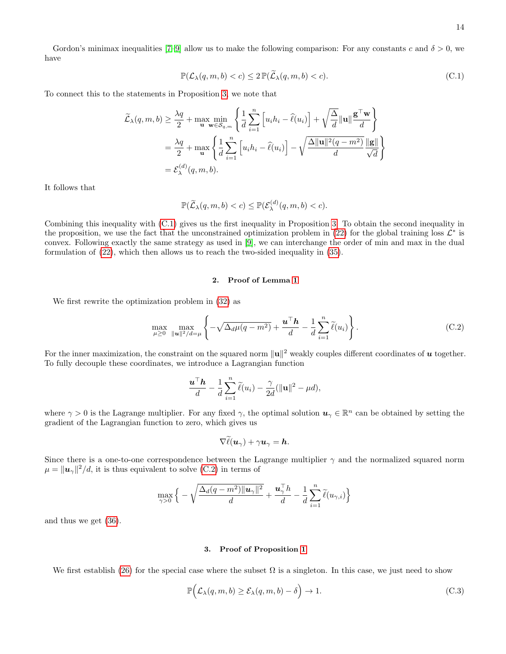14

Gordon's minimax inequalities [\[7](#page-8-2)[–9\]](#page-8-3) allow us to make the following comparison: For any constants c and  $\delta > 0$ , we have

<span id="page-13-0"></span>
$$
\mathbb{P}(\mathcal{L}_{\lambda}(q,m,b)\n(C.1)
$$

To connect this to the statements in Proposition [3,](#page-3-6) we note that

$$
\widetilde{\mathcal{L}}_{\lambda}(q, m, b) \ge \frac{\lambda q}{2} + \max_{\mathbf{u}} \min_{\mathbf{w} \in \mathcal{S}_{q,m}} \left\{ \frac{1}{d} \sum_{i=1}^{n} \left[ u_i h_i - \widehat{\ell}(u_i) \right] + \sqrt{\frac{\Delta}{d}} \|\mathbf{u}\| \frac{\mathbf{g}^{\top} \mathbf{w}}{d} \right\}
$$
\n
$$
= \frac{\lambda q}{2} + \max_{\mathbf{u}} \left\{ \frac{1}{d} \sum_{i=1}^{n} \left[ u_i h_i - \widehat{\ell}(u_i) \right] - \sqrt{\frac{\Delta \|\mathbf{u}\|^2 (q - m^2)}{d}} \frac{\|\mathbf{g}\|}{\sqrt{d}} \right\}
$$
\n
$$
= \mathcal{E}_{\lambda}^{(d)}(q, m, b).
$$

It follows that

$$
\mathbb{P}(\widetilde{\mathcal{L}}_{\lambda}(q,m,b)
$$

Combining this inequality with [\(C.1\)](#page-13-0) gives us the first inequality in Proposition [3.](#page-3-6) To obtain the second inequality in the proposition, we use the fact that the unconstrained optimization problem in  $(22)$  for the global training loss  $\mathcal{L}^*$  is convex. Following exactly the same strategy as used in [\[9\]](#page-8-3), we can interchange the order of min and max in the dual formulation of [\(22\)](#page-2-3), which then allows us to reach the two-sided inequality in [\(35\)](#page-4-6).

## 2. Proof of Lemma [1](#page-4-7)

We first rewrite the optimization problem in [\(32\)](#page-3-2) as

<span id="page-13-1"></span>
$$
\max_{\mu \geq 0} \max_{\|u\|^2/d=\mu} \left\{-\sqrt{\Delta_d \mu (q-m^2)} + \frac{\mathbf{u}^\top \mathbf{h}}{d} - \frac{1}{d} \sum_{i=1}^n \widetilde{\ell}(u_i) \right\}.
$$
 (C.2)

For the inner maximization, the constraint on the squared norm  $\|\mathbf{u}\|^2$  weakly couples different coordinates of  $\bm{u}$  together. To fully decouple these coordinates, we introduce a Lagrangian function

$$
\frac{\mathbf{u}^\top \mathbf{h}}{d} - \frac{1}{d} \sum_{i=1}^n \widetilde{\ell}(u_i) - \frac{\gamma}{2d} (\|\mathbf{u}\|^2 - \mu d),
$$

where  $\gamma > 0$  is the Lagrange multiplier. For any fixed  $\gamma$ , the optimal solution  $u_\gamma \in \mathbb{R}^n$  can be obtained by setting the gradient of the Lagrangian function to zero, which gives us

$$
\nabla \ell(\boldsymbol{u}_{\gamma}) + \gamma \boldsymbol{u}_{\gamma} = \boldsymbol{h}.
$$

Since there is a one-to-one correspondence between the Lagrange multiplier  $\gamma$  and the normalized squared norm  $\mu = ||\boldsymbol{u}_{\gamma}||^2/d$ , it is thus equivalent to solve [\(C.2\)](#page-13-1) in terms of

$$
\max_{\gamma>0}\Big\{-\sqrt{\frac{\Delta_d(q-m^2)\|\boldsymbol{u}_\gamma\|^2}{d}}+\frac{\boldsymbol{u}_\gamma^\top h}{d}-\frac{1}{d}\sum_{i=1}^n\widetilde{\ell}(u_{\gamma,i})\Big\}
$$

and thus we get [\(36\)](#page-4-1).

## 3. Proof of Proposition [1](#page-2-4)

We first establish [\(26\)](#page-3-1) for the special case where the subset  $\Omega$  is a singleton. In this case, we just need to show

<span id="page-13-2"></span>
$$
\mathbb{P}\Big(\mathcal{L}_{\lambda}(q,m,b) \geq \mathcal{E}_{\lambda}(q,m,b) - \delta\Big) \to 1. \tag{C.3}
$$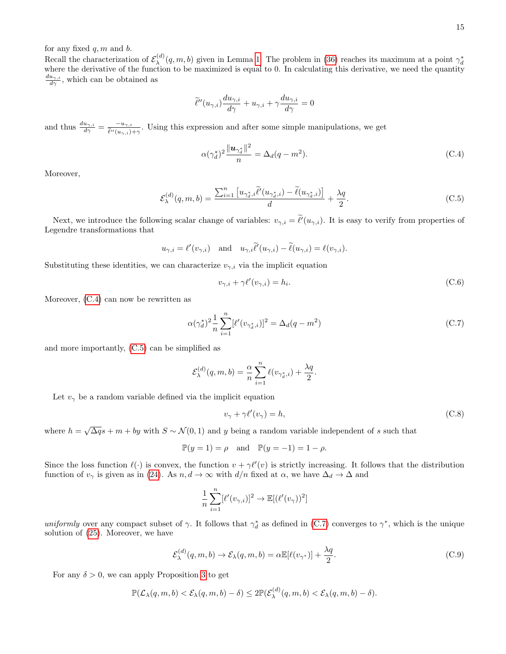for any fixed  $q, m$  and  $b$ .

Recall the characterization of  $\mathcal{E}_{\lambda}^{(d)}$ Recall the characterization of  $\mathcal{E}_{\lambda}^{(d)}(q,m,b)$  given in Lemma [1.](#page-4-7) The problem in [\(36\)](#page-4-1) reaches its maximum at a point  $\gamma_d^*$  where the derivative of the function to be maximized is equal to 0. In calculating this deri  $\frac{du_{\gamma,i}}{d\gamma}$ , which can be obtained as

$$
\widetilde{\ell}''(u_{\gamma,i})\frac{du_{\gamma,i}}{d\gamma}+u_{\gamma,i}+\gamma\frac{du_{\gamma,i}}{d\gamma}=0
$$

and thus  $\frac{du_{\gamma,i}}{d\gamma} = \frac{-u_{\gamma,i}}{\tilde{\ell}''(u_{\gamma,i})}$  $\frac{-u_{\gamma,i}}{\ell''(u_{\gamma,i})+\gamma}$ . Using this expression and after some simple manipulations, we get

<span id="page-14-0"></span>
$$
\alpha(\gamma_d^*)^2 \frac{\|\mathbf{u}_{\gamma_d^*}\|^2}{n} = \Delta_d(q - m^2). \tag{C.4}
$$

Moreover,

<span id="page-14-1"></span>
$$
\mathcal{E}_{\lambda}^{(d)}(q,m,b) = \frac{\sum_{i=1}^{n} \left[ u_{\gamma_d^*,i} \widetilde{\ell}'(u_{\gamma_d^*,i}) - \widetilde{\ell}(u_{\gamma_d^*,i}) \right]}{d} + \frac{\lambda q}{2}.
$$
\n(C.5)

Next, we introduce the following scalar change of variables:  $v_{\gamma,i} = \tilde{\ell}'(u_{\gamma,i})$ . It is easy to verify from properties of Legendre transformations that

$$
u_{\gamma,i} = \ell'(v_{\gamma,i})
$$
 and  $u_{\gamma,i}\tilde{\ell}'(u_{\gamma,i}) - \tilde{\ell}(u_{\gamma,i}) = \ell(v_{\gamma,i}).$ 

Substituting these identities, we can characterize  $v_{\gamma,i}$  via the implicit equation

<span id="page-14-5"></span>
$$
v_{\gamma,i} + \gamma \ell'(v_{\gamma,i}) = h_i.
$$
\n(C.6)

Moreover, [\(C.4\)](#page-14-0) can now be rewritten as

<span id="page-14-2"></span>
$$
\alpha(\gamma_d^*)^2 \frac{1}{n} \sum_{i=1}^n [\ell'(v_{\gamma_d^*,i})]^2 = \Delta_d(q - m^2)
$$
\n(C.7)

.

and more importantly, [\(C.5\)](#page-14-1) can be simplified as

$$
\mathcal{E}_{\lambda}^{(d)}(q,m,b) = \frac{\alpha}{n} \sum_{i=1}^{n} \ell(v_{\gamma_d^*,i}) + \frac{\lambda q}{2}
$$

Let  $v_{\gamma}$  be a random variable defined via the implicit equation

<span id="page-14-4"></span>
$$
v_{\gamma} + \gamma \ell'(v_{\gamma}) = h,\tag{C.8}
$$

where  $h = \sqrt{\Delta q} s + m + by$  with  $S \sim \mathcal{N}(0, 1)$  and y being a random variable independent of s such that

$$
\mathbb{P}(y=1) = \rho \quad \text{and} \quad \mathbb{P}(y=-1) = 1 - \rho.
$$

Since the loss function  $\ell(\cdot)$  is convex, the function  $v + \gamma \ell'(v)$  is strictly increasing. It follows that the distribution function of  $v_\gamma$  is given as in [\(24\)](#page-2-8). As  $n, d \to \infty$  with  $d/n$  fixed at  $\alpha$ , we have  $\Delta_d \to \Delta$  and

$$
\frac{1}{n}\sum_{i=1}^n[\ell'(v_{\gamma,i})]^2\to\mathbb{E}[(\ell'(v_{\gamma}))^2]
$$

uniformly over any compact subset of  $\gamma$ . It follows that  $\gamma_d^*$  as defined in [\(C.7\)](#page-14-2) converges to  $\gamma^*$ , which is the unique solution of [\(25\)](#page-2-5). Moreover, we have

<span id="page-14-3"></span>
$$
\mathcal{E}_{\lambda}^{(d)}(q,m,b) \to \mathcal{E}_{\lambda}(q,m,b) = \alpha \mathbb{E}[\ell(v_{\gamma^*})] + \frac{\lambda q}{2}.
$$
 (C.9)

For any  $\delta > 0$ , we can apply Proposition [3](#page-3-6) to get

$$
\mathbb{P}(\mathcal{L}_{\lambda}(q,m,b)<\mathcal{E}_{\lambda}(q,m,b)-\delta)\leq 2\mathbb{P}(\mathcal{E}_{\lambda}^{(d)}(q,m,b)<\mathcal{E}_{\lambda}(q,m,b)-\delta).
$$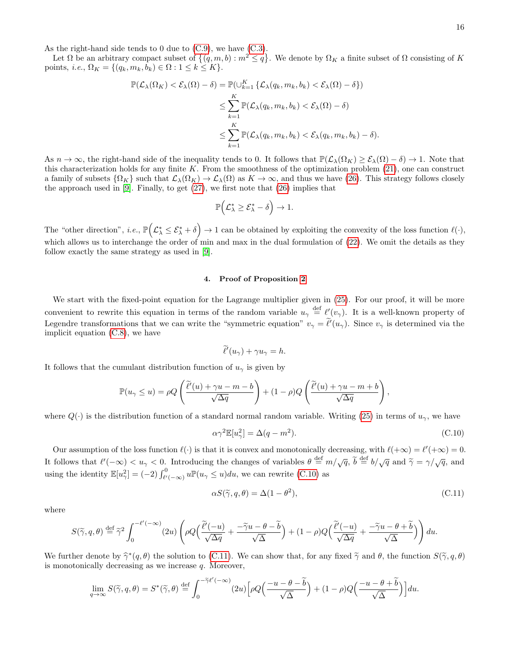As the right-hand side tends to 0 due to  $(C.9)$ , we have  $(C.3)$ .

Let  $\Omega$  be an arbitrary compact subset of  $\{(q, m, b) : m^2 \leq q\}$ . We denote by  $\Omega_K$  a finite subset of  $\Omega$  consisting of K points, i.e.,  $\Omega_K = \{(q_k, m_k, b_k) \in \Omega : 1 \leq k \leq K\}.$ 

$$
\mathbb{P}(\mathcal{L}_{\lambda}(\Omega_{K}) < \mathcal{E}_{\lambda}(\Omega) - \delta) = \mathbb{P}(\cup_{k=1}^{K} \{ \mathcal{L}_{\lambda}(q_{k}, m_{k}, b_{k}) < \mathcal{E}_{\lambda}(\Omega) - \delta \})
$$
\n
$$
\leq \sum_{k=1}^{K} \mathbb{P}(\mathcal{L}_{\lambda}(q_{k}, m_{k}, b_{k}) < \mathcal{E}_{\lambda}(\Omega) - \delta)
$$
\n
$$
\leq \sum_{k=1}^{K} \mathbb{P}(\mathcal{L}_{\lambda}(q_{k}, m_{k}, b_{k}) < \mathcal{E}_{\lambda}(q_{k}, m_{k}, b_{k}) - \delta).
$$

As  $n \to \infty$ , the right-hand side of the inequality tends to 0. It follows that  $\mathbb{P}(\mathcal{L}_\lambda(\Omega_K) \geq \mathcal{E}_\lambda(\Omega) - \delta) \to 1$ . Note that this characterization holds for any finite K. From the smoothness of the optimization problem  $(21)$ , one can construct a family of subsets  $\{\Omega_K\}$  such that  $\mathcal{L}_\lambda(\Omega_K) \to \mathcal{L}_\lambda(\Omega)$  as  $K \to \infty$ , and thus we have [\(26\)](#page-3-1). This strategy follows closely the approach used in  $[9]$ . Finally, to get  $(27)$ , we first note that  $(26)$  implies that

$$
\mathbb{P}\Big(\mathcal{L}^*_{\lambda} \geq \mathcal{E}^*_{\lambda} - \delta\Big) \to 1.
$$

The "other direction", *i.e.*,  $\mathbb{P}(\mathcal{L}^*_{\lambda} \leq \mathcal{E}^*_{\lambda} + \delta) \to 1$  can be obtained by exploiting the convexity of the loss function  $\ell(\cdot)$ , which allows us to interchange the order of min and max in the dual formulation of  $(22)$ . We omit the details as they follow exactly the same strategy as used in [\[9\]](#page-8-3).

#### <span id="page-15-0"></span>4. Proof of Proposition [2](#page-3-4)

We start with the fixed-point equation for the Lagrange multiplier given in [\(25\)](#page-2-5). For our proof, it will be more convenient to rewrite this equation in terms of the random variable  $u_{\gamma} \stackrel{\text{def}}{=} \ell'(v_{\gamma})$ . It is a well-known property of Legendre transformations that we can write the "symmetric equation"  $v_{\gamma} = \ell'(u_{\gamma})$ . Since  $v_{\gamma}$  is determined via the implicit equation [\(C.8\)](#page-14-4), we have

$$
\widetilde{\ell}'(u_{\gamma}) + \gamma u_{\gamma} = h.
$$

It follows that the cumulant distribution function of  $u_{\gamma}$  is given by

$$
\mathbb{P}(u_{\gamma} \leq u) = \rho Q \left( \frac{\widetilde{\ell}'(u) + \gamma u - m - b}{\sqrt{\Delta q}} \right) + (1 - \rho) Q \left( \frac{\widetilde{\ell}'(u) + \gamma u - m + b}{\sqrt{\Delta q}} \right),
$$

where  $Q(\cdot)$  is the distribution function of a standard normal random variable. Writing [\(25\)](#page-2-5) in terms of  $u_{\gamma}$ , we have

<span id="page-15-1"></span>
$$
\alpha \gamma^2 \mathbb{E}[u_\gamma^2] = \Delta(q - m^2). \tag{C.10}
$$

Our assumption of the loss function  $\ell(\cdot)$  is that it is convex and monotonically decreasing, with  $\ell(+\infty) = \ell'(+\infty) = 0$ . It follows that  $\ell'(-\infty) < u_{\gamma} < 0$ . Introducing the changes of variables  $\theta \stackrel{\text{def}}{=} m/\sqrt{q}$ ,  $\widetilde{b} \stackrel{\text{def}}{=} b/\sqrt{q}$  and  $\widetilde{\gamma} = \gamma/\sqrt{q}$ , and using the identity  $\mathbb{E}[u_{\gamma}^2] = (-2) \int_{\ell'(-\infty)}^0 u \mathbb{P}(u_{\gamma} \leq u) du$ , we can rewrite [\(C.10\)](#page-15-1) as

<span id="page-15-2"></span>
$$
\alpha S(\tilde{\gamma}, q, \theta) = \Delta(1 - \theta^2),\tag{C.11}
$$

where

$$
S(\widetilde{\gamma}, q, \theta) \stackrel{\text{def}}{=} \widetilde{\gamma}^2 \int_0^{-\ell'(-\infty)} (2u) \left( \rho Q \Big( \frac{\widetilde{\ell}'(-u)}{\sqrt{\Delta q}} + \frac{-\widetilde{\gamma}u - \theta - \widetilde{b}}{\sqrt{\Delta}} \Big) + (1 - \rho) Q \Big( \frac{\widetilde{\ell}'(-u)}{\sqrt{\Delta q}} + \frac{-\widetilde{\gamma}u - \theta + \widetilde{b}}{\sqrt{\Delta}} \Big) \right) du.
$$

We further denote by  $\hat{\gamma}^*(q, \theta)$  the solution to [\(C.11\)](#page-15-2). We can show that, for any fixed  $\tilde{\gamma}$  and  $\theta$ , the function  $S(\tilde{\gamma}, q, \theta)$  is monotonically decreasing as we increase a Moreover is monotonically decreasing as we increase  $q$ . Moreover,

$$
\lim_{q \to \infty} S(\tilde{\gamma}, q, \theta) = S^*(\tilde{\gamma}, \theta) \stackrel{\text{def}}{=} \int_0^{-\tilde{\gamma}\ell'(-\infty)} (2u) \Big[ \rho Q\Big(\frac{-u - \theta - \tilde{b}}{\sqrt{\Delta}}\Big) + (1 - \rho) Q\Big(\frac{-u - \theta + \tilde{b}}{\sqrt{\Delta}}\Big) \Big] du.
$$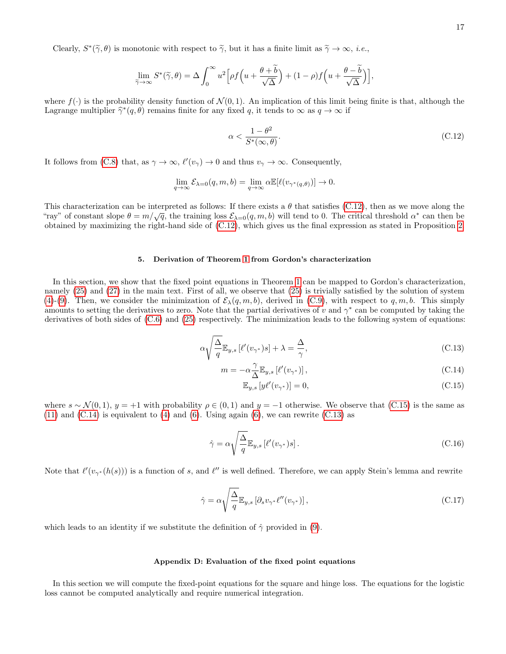Clearly,  $S^*(\tilde{\gamma}, \theta)$  is monotonic with respect to  $\tilde{\gamma}$ , but it has a finite limit as  $\tilde{\gamma} \to \infty$ , *i.e.*,

$$
\lim_{\widetilde{\gamma}\to\infty} S^*(\widetilde{\gamma},\theta) = \Delta \int_0^\infty u^2 \Big[ \rho f\Big(u + \frac{\theta + \widetilde{b}}{\sqrt{\Delta}}\Big) + (1 - \rho) f\Big(u + \frac{\theta - \widetilde{b}}{\sqrt{\Delta}}\Big) \Big],
$$

where  $f(\cdot)$  is the probability density function of  $\mathcal{N}(0, 1)$ . An implication of this limit being finite is that, although the Lagrange multiplier  $\hat{\gamma}^*(q, \theta)$  remains finite for any fixed q, it tends to  $\infty$  as  $q \to \infty$  if

<span id="page-16-2"></span>
$$
\alpha < \frac{1 - \theta^2}{S^*(\infty, \theta)}.\tag{C.12}
$$

It follows from [\(C.8\)](#page-14-4) that, as  $\gamma \to \infty$ ,  $\ell'(v_\gamma) \to 0$  and thus  $v_\gamma \to \infty$ . Consequently,

$$
\lim_{q \to \infty} \mathcal{E}_{\lambda=0}(q, m, b) = \lim_{q \to \infty} \alpha \mathbb{E}[\ell(v_{\gamma^*(q, \theta)})] \to 0.
$$

This characterization can be interpreted as follows: If there exists a  $\theta$  that satisfies [\(C.12\)](#page-16-2), then as we move along the <sup>"ray"</sup> of constant slope  $\theta = m/\sqrt{q}$ , the training loss  $\mathcal{E}_{\lambda=0}(q, m, b)$  will tend to 0. The critical threshold  $\alpha^*$  can then be obtained by maximizing the right-hand side of [\(C.12\)](#page-16-2), which gives us the final expression as stated in Proposition [2.](#page-3-4)

## <span id="page-16-0"></span>5. Derivation of Theorem [1](#page-1-0) from Gordon's characterization

In this section, we show that the fixed point equations in Theorem [1](#page-1-0) can be mapped to Gordon's characterization, namely [\(25\)](#page-2-5) and [\(27\)](#page-3-0) in the main text. First of all, we observe that [\(25\)](#page-2-5) is trivially satisfied by the solution of system [\(4\)](#page-1-6)-[\(9\)](#page-1-7). Then, we consider the minimization of  $\mathcal{E}_{\lambda}(q,m,b)$ , derived in [\(C.9\)](#page-14-3), with respect to q, m, b. This simply amounts to setting the derivatives to zero. Note that the partial derivatives of v and  $\gamma^*$  can be computed by taking the derivatives of both sides of [\(C.6\)](#page-14-5) and [\(25\)](#page-2-5) respectively. The minimization leads to the following system of equations:

<span id="page-16-3"></span>
$$
\alpha \sqrt{\frac{\Delta}{q}} \mathbb{E}_{y,s} \left[ \ell'(v_{\gamma^*})s \right] + \lambda = \frac{\Delta}{\gamma},\tag{C.13}
$$

$$
m = -\alpha \frac{\gamma}{\Delta} \mathbb{E}_{y,s} \left[ \ell'(v_{\gamma^*}) \right],\tag{C.14}
$$

$$
\mathbb{E}_{y,s}\left[y\ell'(v_{\gamma^*})\right] = 0,\tag{C.15}
$$

where  $s \sim \mathcal{N}(0, 1)$ ,  $y = +1$  with probability  $\rho \in (0, 1)$  and  $y = -1$  otherwise. We observe that [\(C.15\)](#page-16-3) is the same as  $(11)$  and  $(C.14)$  is equivalent to  $(4)$  and  $(6)$ . Using again  $(6)$ , we can rewrite  $(C.13)$  as

$$
\hat{\gamma} = \alpha \sqrt{\frac{\Delta}{q}} \mathbb{E}_{y,s} \left[ \ell'(v_{\gamma^*})s \right]. \tag{C.16}
$$

Note that  $\ell'(v_{\gamma^*}(h(s)))$  is a function of s, and  $\ell''$  is well defined. Therefore, we can apply Stein's lemma and rewrite

$$
\hat{\gamma} = \alpha \sqrt{\frac{\Delta}{q}} \mathbb{E}_{y,s} \left[ \partial_s v_{\gamma^*} \ell''(v_{\gamma^*}) \right],\tag{C.17}
$$

which leads to an identity if we substitute the definition of  $\hat{\gamma}$  provided in [\(9\)](#page-1-7).

#### <span id="page-16-1"></span>Appendix D: Evaluation of the fixed point equations

In this section we will compute the fixed-point equations for the square and hinge loss. The equations for the logistic loss cannot be computed analytically and require numerical integration.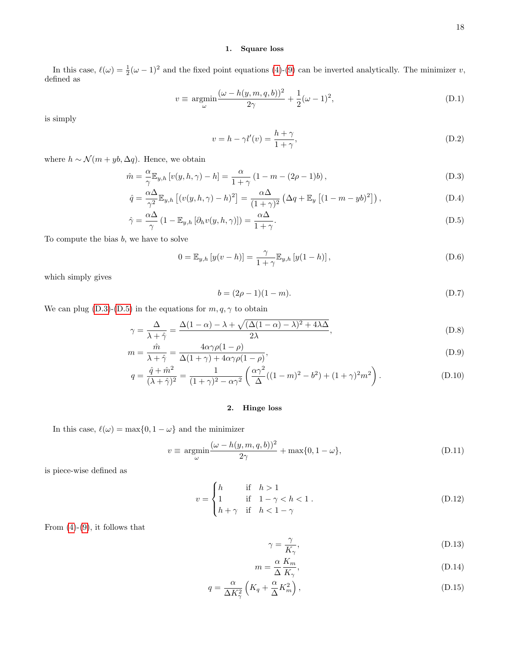## 1. Square loss

In this case,  $\ell(\omega) = \frac{1}{2}(\omega - 1)^2$  and the fixed point equations [\(4\)](#page-1-6)-[\(9\)](#page-1-7) can be inverted analytically. The minimizer v, defined as

$$
v \equiv \underset{\omega}{\text{argmin}} \frac{(\omega - h(y, m, q, b))^2}{2\gamma} + \frac{1}{2}(\omega - 1)^2,
$$
\n(D.1)

is simply

$$
v = h - \gamma l'(v) = \frac{h + \gamma}{1 + \gamma},\tag{D.2}
$$

where  $h \sim \mathcal{N}(m + yb, \Delta q)$ . Hence, we obtain

<span id="page-17-0"></span>
$$
\hat{m} = \frac{\alpha}{\gamma} \mathbb{E}_{y,h} \left[ v(y,h,\gamma) - h \right] = \frac{\alpha}{1+\gamma} \left( 1 - m - (2\rho - 1)b \right),\tag{D.3}
$$

$$
\hat{q} = \frac{\alpha \Delta}{\gamma^2} \mathbb{E}_{y,h} \left[ (v(y,h,\gamma) - h)^2 \right] = \frac{\alpha \Delta}{(1+\gamma)^2} \left( \Delta q + \mathbb{E}_y \left[ (1-m - yb)^2 \right] \right),\tag{D.4}
$$

$$
\hat{\gamma} = \frac{\alpha \Delta}{\gamma} \left( 1 - \mathbb{E}_{y,h} \left[ \partial_h v(y, h, \gamma) \right] \right) = \frac{\alpha \Delta}{1 + \gamma}.
$$
\n(D.5)

To compute the bias  $b$ , we have to solve

$$
0 = \mathbb{E}_{y,h} [y(v-h)] = \frac{\gamma}{1+\gamma} \mathbb{E}_{y,h} [y(1-h)],
$$
\n(D.6)

which simply gives

$$
b = (2\rho - 1)(1 - m). \tag{D.7}
$$

We can plug [\(D.3\)](#page-17-0)-[\(D.5\)](#page-17-0) in the equations for  $m,q,\gamma$  to obtain

<span id="page-17-1"></span>
$$
\gamma = \frac{\Delta}{\lambda + \hat{\gamma}} = \frac{\Delta(1 - \alpha) - \lambda + \sqrt{(\Delta(1 - \alpha) - \lambda)^2 + 4\lambda\Delta}}{2\lambda},
$$
\n(D.8)

$$
m = \frac{\hat{m}}{\lambda + \hat{\gamma}} = \frac{4\alpha\gamma\rho(1-\rho)}{\Delta(1+\gamma) + 4\alpha\gamma\rho(1-\rho)},
$$
\n(D.9)

$$
q = \frac{\hat{q} + \hat{m}^2}{(\lambda + \hat{\gamma})^2} = \frac{1}{(1 + \gamma)^2 - \alpha \gamma^2} \left( \frac{\alpha \gamma^2}{\Delta} ((1 - m)^2 - b^2) + (1 + \gamma)^2 m^2 \right).
$$
 (D.10)

# 2. Hinge loss

In this case,  $\ell(\omega) = \max\{0, 1 - \omega\}$  and the minimizer

$$
v \equiv \underset{\omega}{\text{argmin}} \frac{(\omega - h(y, m, q, b))^2}{2\gamma} + \max\{0, 1 - \omega\},\tag{D.11}
$$

is piece-wise defined as

$$
v = \begin{cases} h & \text{if } h > 1 \\ 1 & \text{if } 1 - \gamma < h < 1 \\ h + \gamma & \text{if } h < 1 - \gamma \end{cases} \tag{D.12}
$$

From  $(4)-(9)$  $(4)-(9)$  $(4)-(9)$ , it follows that

$$
\gamma = \frac{\gamma}{K_{\gamma}},\tag{D.13}
$$

$$
m = \frac{\alpha}{\Delta} \frac{K_m}{K_\gamma},\tag{D.14}
$$

$$
q = \frac{\alpha}{\Delta K_{\gamma}^2} \left( K_q + \frac{\alpha}{\Delta} K_m^2 \right), \tag{D.15}
$$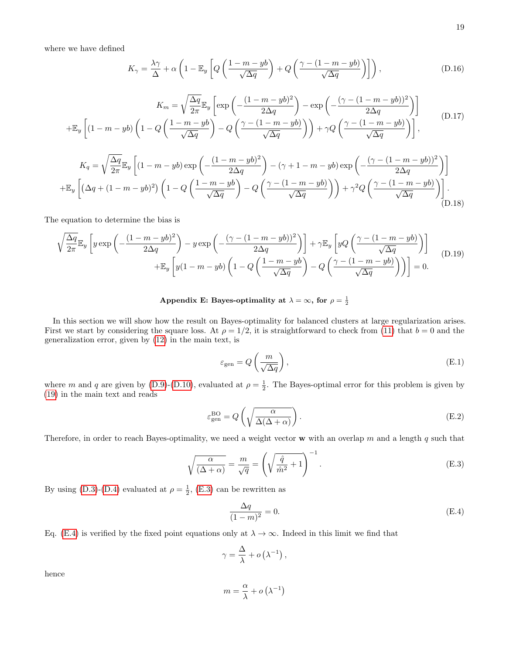where we have defined

$$
K_{\gamma} = \frac{\lambda \gamma}{\Delta} + \alpha \left( 1 - \mathbb{E}_y \left[ Q \left( \frac{1 - m - yb}{\sqrt{\Delta q}} \right) + Q \left( \frac{\gamma - (1 - m - yb)}{\sqrt{\Delta q}} \right) \right] \right), \tag{D.16}
$$

$$
K_m = \sqrt{\frac{\Delta q}{2\pi}} \mathbb{E}_y \left[ \exp\left(-\frac{(1-m-yb)^2}{2\Delta q}\right) - \exp\left(-\frac{(\gamma - (1-m-yb))^2}{2\Delta q}\right) \right]
$$
  
+
$$
\mathbb{E}_y \left[ (1-m-yb)\left(1-Q\left(\frac{1-m-yb}{\sqrt{\Delta q}}\right)-Q\left(\frac{\gamma - (1-m-yb)}{\sqrt{\Delta q}}\right)\right) + \gamma Q\left(\frac{\gamma - (1-m-yb)}{\sqrt{\Delta q}}\right) \right],
$$
(D.17)

$$
K_{q} = \sqrt{\frac{\Delta q}{2\pi}} \mathbb{E}_{y} \left[ (1 - m - yb) \exp\left( -\frac{(1 - m - yb)^{2}}{2\Delta q} \right) - (\gamma + 1 - m - yb) \exp\left( -\frac{(\gamma - (1 - m - yb))^{2}}{2\Delta q} \right) \right]
$$

$$
+ \mathbb{E}_{y} \left[ \left( \Delta q + (1 - m - yb)^{2} \right) \left( 1 - Q \left( \frac{1 - m - yb}{\sqrt{\Delta q}} \right) - Q \left( \frac{\gamma - (1 - m - yb)}{\sqrt{\Delta q}} \right) \right) + \gamma^{2} Q \left( \frac{\gamma - (1 - m - yb)}{\sqrt{\Delta q}} \right) \right].
$$
(D.18)

The equation to determine the bias is

$$
\sqrt{\frac{\Delta q}{2\pi}}\mathbb{E}_y\left[y\exp\left(-\frac{(1-m-yb)^2}{2\Delta q}\right)-y\exp\left(-\frac{(\gamma-(1-m-yb))^2}{2\Delta q}\right)\right]+\gamma\mathbb{E}_y\left[yQ\left(\frac{\gamma-(1-m-yb)}{\sqrt{\Delta q}}\right)\right]
$$
  
 
$$
+\mathbb{E}_y\left[y(1-m-yb)\left(1-Q\left(\frac{1-m-yb}{\sqrt{\Delta q}}\right)-Q\left(\frac{\gamma-(1-m-yb)}{\sqrt{\Delta q}}\right)\right)\right]=0.
$$
 (D.19)

# <span id="page-18-0"></span>Appendix E: Bayes-optimality at  $\lambda = \infty$ , for  $\rho = \frac{1}{2}$

In this section we will show how the result on Bayes-optimality for balanced clusters at large regularization arises. First we start by considering the square loss. At  $\rho = 1/2$ , it is straightforward to check from [\(11\)](#page-1-0) that  $b = 0$  and the generalization error, given by [\(12\)](#page-1-1) in the main text, is

$$
\varepsilon_{\text{gen}} = Q\left(\frac{m}{\sqrt{\Delta q}}\right),\tag{E.1}
$$

where m and q are given by [\(D.9\)](#page-17-1)-[\(D.10\)](#page-17-1), evaluated at  $\rho = \frac{1}{2}$ . The Bayes-optimal error for this problem is given by [\(19\)](#page-2-7) in the main text and reads

$$
\varepsilon_{\text{gen}}^{\text{BO}} = Q\left(\sqrt{\frac{\alpha}{\Delta(\Delta+\alpha)}}\right). \tag{E.2}
$$

Therefore, in order to reach Bayes-optimality, we need a weight vector  $\bf{w}$  with an overlap m and a length q such that

<span id="page-18-1"></span>
$$
\sqrt{\frac{\alpha}{(\Delta+\alpha)}} = \frac{m}{\sqrt{q}} = \left(\sqrt{\frac{\hat{q}}{\hat{m}^2} + 1}\right)^{-1}.
$$
\n(E.3)

By using [\(D.3\)](#page-17-0)-[\(D.4\)](#page-17-0) evaluated at  $\rho = \frac{1}{2}$ , [\(E.3\)](#page-18-1) can be rewritten as

<span id="page-18-2"></span>
$$
\frac{\Delta q}{(1-m)^2} = 0.\tag{E.4}
$$

Eq. [\(E.4\)](#page-18-2) is verified by the fixed point equations only at  $\lambda \to \infty$ . Indeed in this limit we find that

$$
\gamma = \frac{\Delta}{\lambda} + o\left(\lambda^{-1}\right),\,
$$

hence

$$
m = \frac{\alpha}{\lambda} + o\left(\lambda^{-1}\right)
$$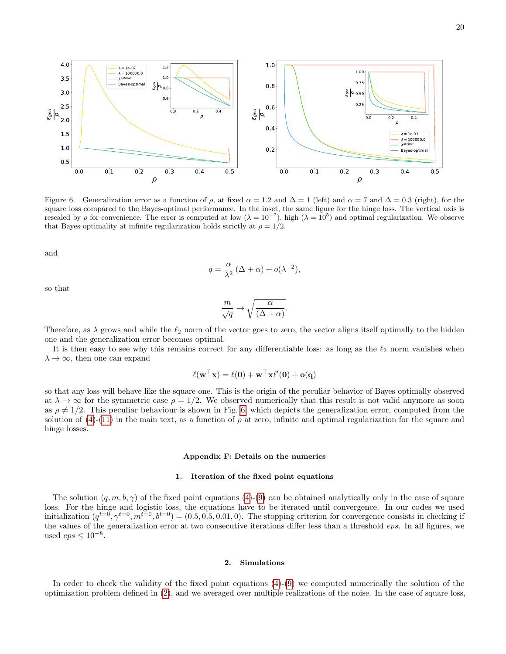

<span id="page-19-1"></span>Figure 6. Generalization error as a function of  $\rho$ , at fixed  $\alpha = 1.2$  and  $\Delta = 1$  (left) and  $\alpha = 7$  and  $\Delta = 0.3$  (right), for the square loss compared to the Bayes-optimal performance. In the inset, the same figure for the hinge loss. The vertical axis is rescaled by  $\rho$  for convenience. The error is computed at low  $(\lambda = 10^{-7})$ , high  $(\lambda = 10^5)$  and optimal regularization. We observe that Bayes-optimality at infinite regularization holds strictly at  $\rho = 1/2$ .

and

$$
q = \frac{\alpha}{\lambda^2} (\Delta + \alpha) + o(\lambda^{-2}),
$$

so that

$$
\frac{m}{\sqrt{q}} \to \sqrt{\frac{\alpha}{(\Delta + \alpha)}}.
$$

Therefore, as  $\lambda$  grows and while the  $\ell_2$  norm of the vector goes to zero, the vector aligns itself optimally to the hidden one and the generalization error becomes optimal.

It is then easy to see why this remains correct for any differentiable loss: as long as the  $\ell_2$  norm vanishes when  $\lambda \to \infty$ , then one can expand

$$
\ell(\mathbf{w}^\top\mathbf{x}) = \ell(\mathbf{0}) + \mathbf{w}^\top\mathbf{x}\ell'(\mathbf{0}) + \mathbf{o}(\mathbf{q})
$$

so that any loss will behave like the square one. This is the origin of the peculiar behavior of Bayes optimally observed at  $\lambda \to \infty$  for the symmetric case  $\rho = 1/2$ . We observed numerically that this result is not valid anymore as soon as  $\rho \neq 1/2$ . This peculiar behaviour is shown in Fig. [6,](#page-19-1) which depicts the generalization error, computed from the solution of [\(4\)](#page-1-6)-[\(11\)](#page-1-0) in the main text, as a function of  $\rho$  at zero, infinite and optimal regularization for the square and hinge losses.

## <span id="page-19-0"></span>Appendix F: Details on the numerics

## 1. Iteration of the fixed point equations

The solution  $(q, m, b, \gamma)$  of the fixed point equations [\(4\)](#page-1-6)-[\(9\)](#page-1-7) can be obtained analytically only in the case of square loss. For the hinge and logistic loss, the equations have to be iterated until convergence. In our codes we used initialization  $(q^{t=0}, \gamma^{t=0}, m^{t=0}, b^{t=0}) = (0.5, 0.5, 0.01, 0)$ . The stopping criterion for convergence consists in checking if the values of the generalization error at two consecutive iterations differ less than a threshold eps. In all figures, we used  $eps \leq 10^{-8}$ .

## 2. Simulations

In order to check the validity of the fixed point equations  $(4)-(9)$  $(4)-(9)$  $(4)-(9)$  we computed numerically the solution of the optimization problem defined in [\(2\)](#page-0-1), and we averaged over multiple realizations of the noise. In the case of square loss,